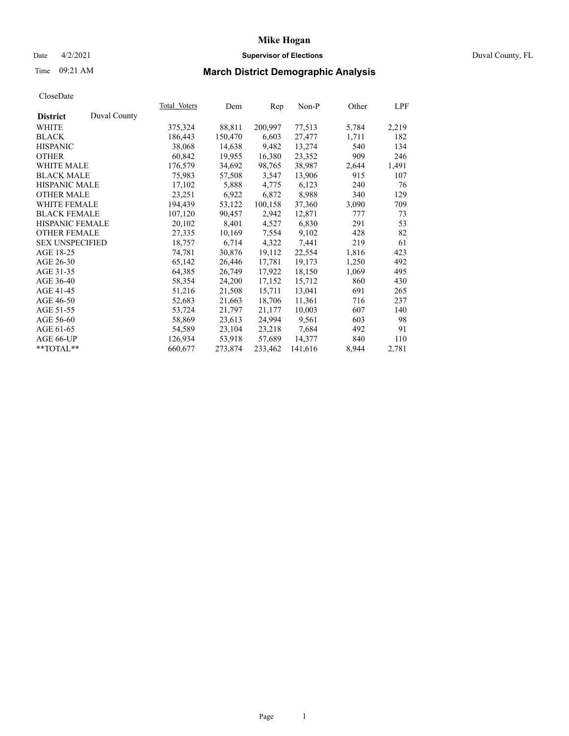### Date 4/2/2021 **Supervisor of Elections** Duval County, FL

# Time 09:21 AM **March District Demographic Analysis**

|                                 | Total Voters | Dem     | Rep     | $Non-P$ | Other | LPF   |
|---------------------------------|--------------|---------|---------|---------|-------|-------|
| Duval County<br><b>District</b> |              |         |         |         |       |       |
| WHITE                           | 375,324      | 88,811  | 200,997 | 77,513  | 5,784 | 2,219 |
| <b>BLACK</b>                    | 186,443      | 150,470 | 6,603   | 27,477  | 1,711 | 182   |
| <b>HISPANIC</b>                 | 38,068       | 14,638  | 9,482   | 13,274  | 540   | 134   |
| <b>OTHER</b>                    | 60,842       | 19,955  | 16,380  | 23,352  | 909   | 246   |
| <b>WHITE MALE</b>               | 176,579      | 34,692  | 98,765  | 38,987  | 2,644 | 1,491 |
| <b>BLACK MALE</b>               | 75,983       | 57,508  | 3,547   | 13,906  | 915   | 107   |
| <b>HISPANIC MALE</b>            | 17,102       | 5,888   | 4,775   | 6,123   | 240   | 76    |
| <b>OTHER MALE</b>               | 23,251       | 6,922   | 6,872   | 8,988   | 340   | 129   |
| <b>WHITE FEMALE</b>             | 194,439      | 53,122  | 100,158 | 37,360  | 3,090 | 709   |
| <b>BLACK FEMALE</b>             | 107,120      | 90,457  | 2,942   | 12,871  | 777   | 73    |
| HISPANIC FEMALE                 | 20,102       | 8,401   | 4,527   | 6,830   | 291   | 53    |
| <b>OTHER FEMALE</b>             | 27,335       | 10,169  | 7,554   | 9,102   | 428   | 82    |
| <b>SEX UNSPECIFIED</b>          | 18,757       | 6,714   | 4,322   | 7,441   | 219   | 61    |
| AGE 18-25                       | 74,781       | 30,876  | 19,112  | 22,554  | 1,816 | 423   |
| AGE 26-30                       | 65,142       | 26,446  | 17,781  | 19,173  | 1,250 | 492   |
| AGE 31-35                       | 64,385       | 26,749  | 17,922  | 18,150  | 1,069 | 495   |
| AGE 36-40                       | 58,354       | 24,200  | 17,152  | 15,712  | 860   | 430   |
| AGE 41-45                       | 51,216       | 21,508  | 15,711  | 13,041  | 691   | 265   |
| AGE 46-50                       | 52,683       | 21,663  | 18,706  | 11,361  | 716   | 237   |
| AGE 51-55                       | 53,724       | 21,797  | 21,177  | 10,003  | 607   | 140   |
| AGE 56-60                       | 58,869       | 23,613  | 24,994  | 9,561   | 603   | 98    |
| AGE 61-65                       | 54,589       | 23,104  | 23,218  | 7,684   | 492   | 91    |
| AGE 66-UP                       | 126,934      | 53,918  | 57,689  | 14,377  | 840   | 110   |
| **TOTAL**                       | 660,677      | 273,874 | 233,462 | 141,616 | 8,944 | 2,781 |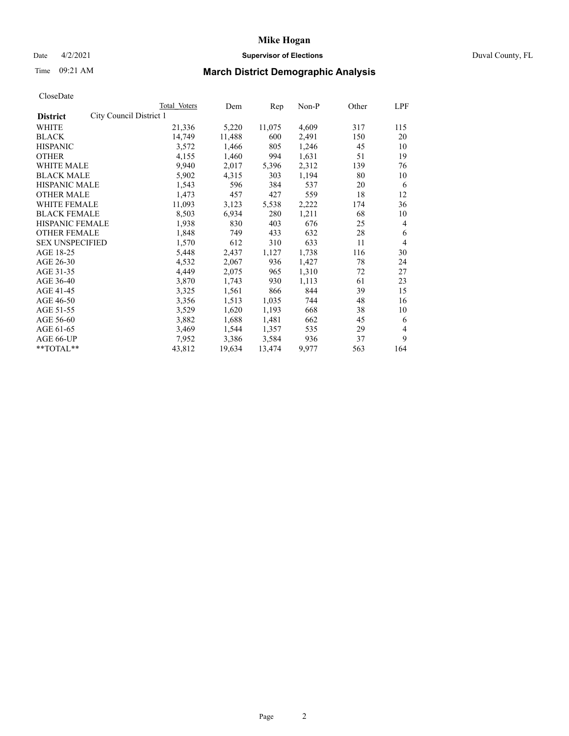## **Mike Hogan** Date 4/2/2021 **Supervisor of Elections** Duval County, FL

# Time 09:21 AM **March District Demographic Analysis**

| Total Voters                    | Dem    | Rep    | Non-P | Other | LPF |
|---------------------------------|--------|--------|-------|-------|-----|
| City Council District 1         |        |        |       |       |     |
| 21,336                          | 5,220  | 11,075 | 4,609 | 317   | 115 |
| 14,749                          | 11,488 | 600    | 2,491 | 150   | 20  |
| 3,572                           | 1,466  | 805    | 1,246 | 45    | 10  |
| 4,155                           | 1,460  | 994    | 1,631 | 51    | 19  |
| 9,940                           | 2,017  | 5,396  | 2,312 | 139   | 76  |
| 5,902                           | 4,315  | 303    | 1,194 | 80    | 10  |
| <b>HISPANIC MALE</b><br>1,543   | 596    | 384    | 537   | 20    | 6   |
| 1,473                           | 457    | 427    | 559   | 18    | 12  |
| WHITE FEMALE<br>11,093          | 3,123  | 5,538  | 2,222 | 174   | 36  |
| <b>BLACK FEMALE</b><br>8,503    | 6,934  | 280    | 1,211 | 68    | 10  |
| HISPANIC FEMALE<br>1,938        | 830    | 403    | 676   | 25    | 4   |
| <b>OTHER FEMALE</b><br>1,848    | 749    | 433    | 632   | 28    | 6   |
| <b>SEX UNSPECIFIED</b><br>1,570 | 612    | 310    | 633   | 11    | 4   |
| 5,448                           | 2,437  | 1,127  | 1,738 | 116   | 30  |
| 4,532                           | 2,067  | 936    | 1,427 | 78    | 24  |
| 4,449                           | 2,075  | 965    | 1,310 | 72    | 27  |
| 3,870                           | 1,743  | 930    | 1,113 | 61    | 23  |
| 3,325                           | 1,561  | 866    | 844   | 39    | 15  |
| 3,356                           | 1,513  | 1,035  | 744   | 48    | 16  |
| 3,529                           | 1,620  | 1,193  | 668   | 38    | 10  |
| 3,882                           | 1,688  | 1,481  | 662   | 45    | 6   |
| 3,469                           | 1,544  | 1,357  | 535   | 29    | 4   |
| 7,952                           | 3,386  | 3,584  | 936   | 37    | 9   |
| 43,812                          | 19,634 | 13,474 | 9,977 | 563   | 164 |
|                                 |        |        |       |       |     |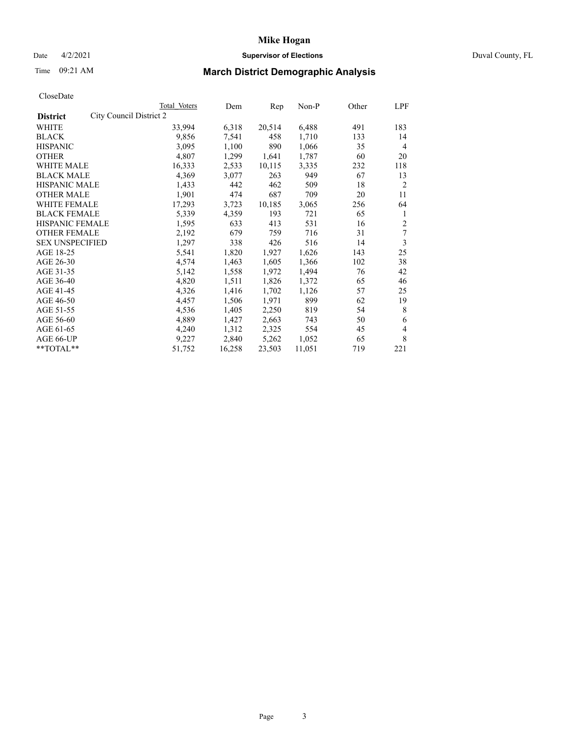### Date 4/2/2021 **Supervisor of Elections** Duval County, FL

# Time 09:21 AM **March District Demographic Analysis**

|                                            | Total Voters | Dem    | Rep    | Non-P  | Other | LPF            |
|--------------------------------------------|--------------|--------|--------|--------|-------|----------------|
| City Council District 2<br><b>District</b> |              |        |        |        |       |                |
| WHITE                                      | 33,994       | 6,318  | 20,514 | 6,488  | 491   | 183            |
| <b>BLACK</b>                               | 9,856        | 7,541  | 458    | 1,710  | 133   | 14             |
| <b>HISPANIC</b>                            | 3,095        | 1,100  | 890    | 1,066  | 35    | $\overline{4}$ |
| <b>OTHER</b>                               | 4,807        | 1,299  | 1,641  | 1,787  | 60    | 20             |
| WHITE MALE                                 | 16,333       | 2,533  | 10,115 | 3,335  | 232   | 118            |
| <b>BLACK MALE</b>                          | 4,369        | 3,077  | 263    | 949    | 67    | 13             |
| <b>HISPANIC MALE</b>                       | 1,433        | 442    | 462    | 509    | 18    | $\overline{2}$ |
| <b>OTHER MALE</b>                          | 1,901        | 474    | 687    | 709    | 20    | 11             |
| WHITE FEMALE                               | 17,293       | 3,723  | 10,185 | 3,065  | 256   | 64             |
| <b>BLACK FEMALE</b>                        | 5,339        | 4,359  | 193    | 721    | 65    | 1              |
| <b>HISPANIC FEMALE</b>                     | 1,595        | 633    | 413    | 531    | 16    | $\overline{2}$ |
| <b>OTHER FEMALE</b>                        | 2,192        | 679    | 759    | 716    | 31    | 7              |
| <b>SEX UNSPECIFIED</b>                     | 1,297        | 338    | 426    | 516    | 14    | 3              |
| AGE 18-25                                  | 5,541        | 1,820  | 1,927  | 1,626  | 143   | 25             |
| AGE 26-30                                  | 4,574        | 1,463  | 1,605  | 1,366  | 102   | 38             |
| AGE 31-35                                  | 5,142        | 1,558  | 1,972  | 1,494  | 76    | 42             |
| AGE 36-40                                  | 4,820        | 1,511  | 1,826  | 1,372  | 65    | 46             |
| AGE 41-45                                  | 4,326        | 1,416  | 1,702  | 1,126  | 57    | 25             |
| AGE 46-50                                  | 4,457        | 1,506  | 1,971  | 899    | 62    | 19             |
| AGE 51-55                                  | 4,536        | 1,405  | 2,250  | 819    | 54    | 8              |
| AGE 56-60                                  | 4,889        | 1,427  | 2,663  | 743    | 50    | 6              |
| AGE 61-65                                  | 4,240        | 1,312  | 2,325  | 554    | 45    | 4              |
| AGE 66-UP                                  | 9,227        | 2,840  | 5,262  | 1,052  | 65    | 8              |
| **TOTAL**                                  | 51,752       | 16,258 | 23,503 | 11,051 | 719   | 221            |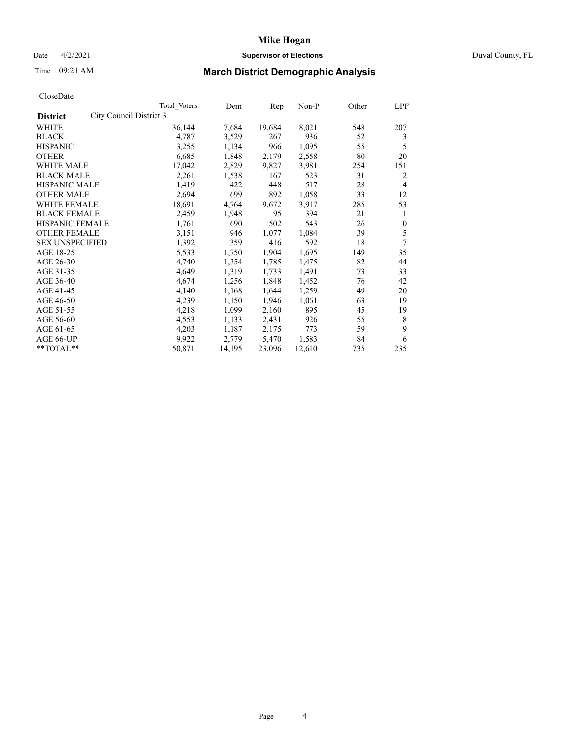## Date 4/2/2021 **Supervisor of Elections** Duval County, FL

# Time 09:21 AM **March District Demographic Analysis**

|                                            | Total Voters | Dem    | Rep    | Non-P  | Other | LPF      |
|--------------------------------------------|--------------|--------|--------|--------|-------|----------|
| City Council District 3<br><b>District</b> |              |        |        |        |       |          |
| WHITE                                      | 36,144       | 7,684  | 19,684 | 8,021  | 548   | 207      |
| <b>BLACK</b>                               | 4,787        | 3,529  | 267    | 936    | 52    | 3        |
| <b>HISPANIC</b>                            | 3,255        | 1,134  | 966    | 1,095  | 55    | 5        |
| <b>OTHER</b>                               | 6,685        | 1,848  | 2,179  | 2,558  | 80    | 20       |
| WHITE MALE                                 | 17,042       | 2,829  | 9,827  | 3,981  | 254   | 151      |
| <b>BLACK MALE</b>                          | 2,261        | 1,538  | 167    | 523    | 31    | 2        |
| <b>HISPANIC MALE</b>                       | 1,419        | 422    | 448    | 517    | 28    | 4        |
| <b>OTHER MALE</b>                          | 2,694        | 699    | 892    | 1,058  | 33    | 12       |
| <b>WHITE FEMALE</b>                        | 18,691       | 4,764  | 9,672  | 3,917  | 285   | 53       |
| <b>BLACK FEMALE</b>                        | 2,459        | 1,948  | 95     | 394    | 21    | 1        |
| <b>HISPANIC FEMALE</b>                     | 1,761        | 690    | 502    | 543    | 26    | $\theta$ |
| <b>OTHER FEMALE</b>                        | 3,151        | 946    | 1,077  | 1,084  | 39    | 5        |
| <b>SEX UNSPECIFIED</b>                     | 1,392        | 359    | 416    | 592    | 18    | 7        |
| AGE 18-25                                  | 5,533        | 1,750  | 1,904  | 1,695  | 149   | 35       |
| AGE 26-30                                  | 4,740        | 1,354  | 1,785  | 1,475  | 82    | 44       |
| AGE 31-35                                  | 4,649        | 1,319  | 1,733  | 1,491  | 73    | 33       |
| AGE 36-40                                  | 4,674        | 1,256  | 1,848  | 1,452  | 76    | 42       |
| AGE 41-45                                  | 4,140        | 1,168  | 1,644  | 1,259  | 49    | 20       |
| AGE 46-50                                  | 4,239        | 1,150  | 1,946  | 1,061  | 63    | 19       |
| AGE 51-55                                  | 4,218        | 1,099  | 2,160  | 895    | 45    | 19       |
| AGE 56-60                                  | 4,553        | 1,133  | 2,431  | 926    | 55    | 8        |
| AGE 61-65                                  | 4,203        | 1,187  | 2,175  | 773    | 59    | 9        |
| AGE 66-UP                                  | 9,922        | 2,779  | 5,470  | 1,583  | 84    | 6        |
| $*$ TOTAL $*$                              | 50,871       | 14,195 | 23,096 | 12,610 | 735   | 235      |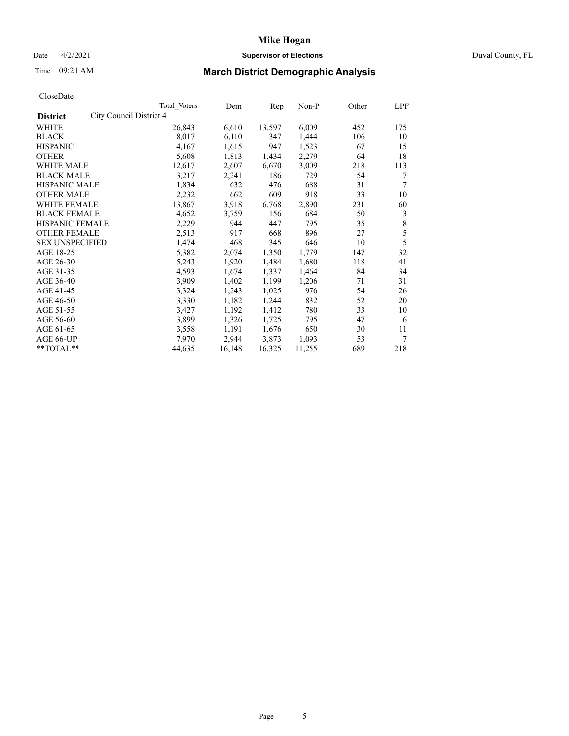## Date 4/2/2021 **Supervisor of Elections** Duval County, FL

# Time 09:21 AM **March District Demographic Analysis**

|                                            | <b>Total Voters</b> | Dem    | Rep    | $Non-P$ | Other | <b>LPF</b> |
|--------------------------------------------|---------------------|--------|--------|---------|-------|------------|
| City Council District 4<br><b>District</b> |                     |        |        |         |       |            |
| WHITE                                      | 26,843              | 6,610  | 13,597 | 6,009   | 452   | 175        |
| <b>BLACK</b>                               | 8,017               | 6,110  | 347    | 1,444   | 106   | 10         |
| <b>HISPANIC</b>                            | 4,167               | 1,615  | 947    | 1,523   | 67    | 15         |
| <b>OTHER</b>                               | 5,608               | 1,813  | 1,434  | 2,279   | 64    | 18         |
| WHITE MALE                                 | 12,617              | 2,607  | 6,670  | 3,009   | 218   | 113        |
| <b>BLACK MALE</b>                          | 3,217               | 2,241  | 186    | 729     | 54    | 7          |
| <b>HISPANIC MALE</b>                       | 1,834               | 632    | 476    | 688     | 31    | 7          |
| <b>OTHER MALE</b>                          | 2,232               | 662    | 609    | 918     | 33    | 10         |
| WHITE FEMALE                               | 13,867              | 3,918  | 6,768  | 2,890   | 231   | 60         |
| <b>BLACK FEMALE</b>                        | 4,652               | 3,759  | 156    | 684     | 50    | 3          |
| HISPANIC FEMALE                            | 2,229               | 944    | 447    | 795     | 35    | $\,$ $\,$  |
| <b>OTHER FEMALE</b>                        | 2,513               | 917    | 668    | 896     | 27    | 5          |
| <b>SEX UNSPECIFIED</b>                     | 1,474               | 468    | 345    | 646     | 10    | 5          |
| AGE 18-25                                  | 5,382               | 2,074  | 1,350  | 1,779   | 147   | 32         |
| AGE 26-30                                  | 5,243               | 1,920  | 1,484  | 1,680   | 118   | 41         |
| AGE 31-35                                  | 4,593               | 1,674  | 1,337  | 1,464   | 84    | 34         |
| AGE 36-40                                  | 3,909               | 1,402  | 1,199  | 1,206   | 71    | 31         |
| AGE 41-45                                  | 3,324               | 1,243  | 1,025  | 976     | 54    | 26         |
| AGE 46-50                                  | 3,330               | 1,182  | 1,244  | 832     | 52    | 20         |
| AGE 51-55                                  | 3,427               | 1,192  | 1,412  | 780     | 33    | 10         |
| AGE 56-60                                  | 3,899               | 1,326  | 1,725  | 795     | 47    | 6          |
| AGE 61-65                                  | 3,558               | 1,191  | 1,676  | 650     | 30    | 11         |
| AGE 66-UP                                  | 7,970               | 2,944  | 3,873  | 1,093   | 53    | 7          |
| **TOTAL**                                  | 44,635              | 16,148 | 16,325 | 11,255  | 689   | 218        |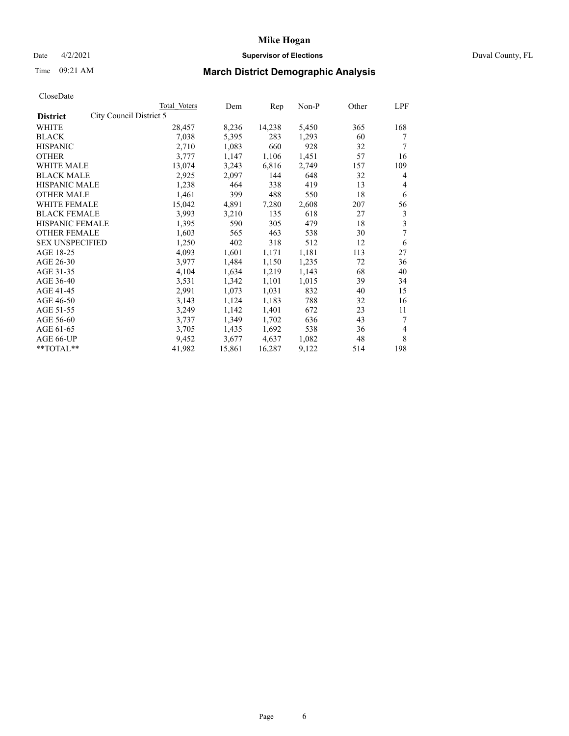## Date 4/2/2021 **Supervisor of Elections** Duval County, FL

# Time 09:21 AM **March District Demographic Analysis**

|                                            | Total Voters | Dem    | Rep    | $Non-P$ | Other | LPF |
|--------------------------------------------|--------------|--------|--------|---------|-------|-----|
| City Council District 5<br><b>District</b> |              |        |        |         |       |     |
| WHITE                                      | 28,457       | 8,236  | 14,238 | 5,450   | 365   | 168 |
| <b>BLACK</b>                               | 7,038        | 5,395  | 283    | 1,293   | 60    | 7   |
| <b>HISPANIC</b>                            | 2,710        | 1,083  | 660    | 928     | 32    | 7   |
| <b>OTHER</b>                               | 3,777        | 1,147  | 1,106  | 1,451   | 57    | 16  |
| <b>WHITE MALE</b>                          | 13,074       | 3,243  | 6,816  | 2,749   | 157   | 109 |
| <b>BLACK MALE</b>                          | 2,925        | 2,097  | 144    | 648     | 32    | 4   |
| <b>HISPANIC MALE</b>                       | 1,238        | 464    | 338    | 419     | 13    | 4   |
| <b>OTHER MALE</b>                          | 1,461        | 399    | 488    | 550     | 18    | 6   |
| WHITE FEMALE                               | 15,042       | 4,891  | 7,280  | 2,608   | 207   | 56  |
| <b>BLACK FEMALE</b>                        | 3,993        | 3,210  | 135    | 618     | 27    | 3   |
| HISPANIC FEMALE                            | 1,395        | 590    | 305    | 479     | 18    | 3   |
| <b>OTHER FEMALE</b>                        | 1,603        | 565    | 463    | 538     | 30    | 7   |
| <b>SEX UNSPECIFIED</b>                     | 1,250        | 402    | 318    | 512     | 12    | 6   |
| AGE 18-25                                  | 4,093        | 1,601  | 1,171  | 1,181   | 113   | 27  |
| AGE 26-30                                  | 3,977        | 1,484  | 1,150  | 1,235   | 72    | 36  |
| AGE 31-35                                  | 4,104        | 1,634  | 1,219  | 1,143   | 68    | 40  |
| AGE 36-40                                  | 3,531        | 1,342  | 1,101  | 1,015   | 39    | 34  |
| AGE 41-45                                  | 2,991        | 1,073  | 1,031  | 832     | 40    | 15  |
| AGE 46-50                                  | 3,143        | 1,124  | 1,183  | 788     | 32    | 16  |
| AGE 51-55                                  | 3,249        | 1,142  | 1,401  | 672     | 23    | 11  |
| AGE 56-60                                  | 3,737        | 1,349  | 1,702  | 636     | 43    | 7   |
| AGE 61-65                                  | 3,705        | 1,435  | 1,692  | 538     | 36    | 4   |
| AGE 66-UP                                  | 9,452        | 3,677  | 4,637  | 1,082   | 48    | 8   |
| **TOTAL**                                  | 41,982       | 15,861 | 16,287 | 9,122   | 514   | 198 |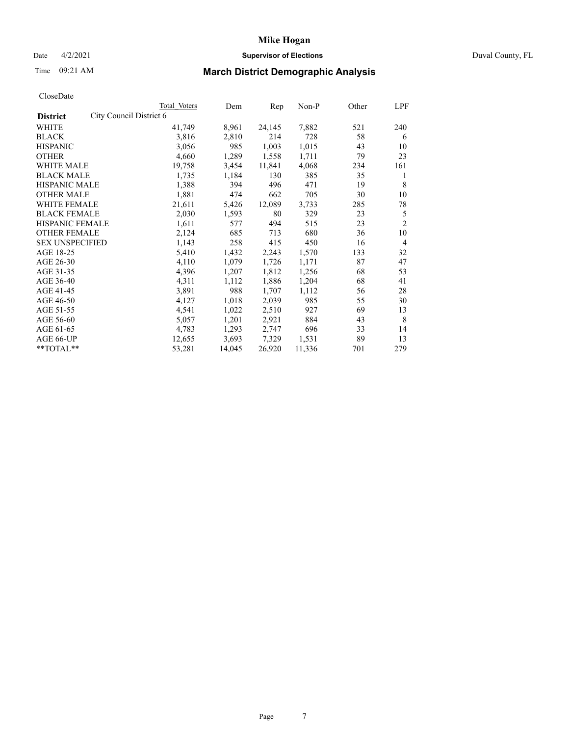## Date 4/2/2021 **Supervisor of Elections** Duval County, FL

# Time 09:21 AM **March District Demographic Analysis**

|                        | Total Voters | Dem                     | Rep    | $Non-P$ | Other | LPF            |
|------------------------|--------------|-------------------------|--------|---------|-------|----------------|
|                        |              |                         |        |         |       |                |
|                        | 41,749       | 8,961                   | 24,145 | 7,882   | 521   | 240            |
|                        | 3,816        | 2,810                   | 214    | 728     | 58    | 6              |
|                        | 3,056        | 985                     | 1,003  | 1,015   | 43    | 10             |
|                        | 4,660        | 1,289                   | 1,558  | 1,711   | 79    | 23             |
|                        | 19,758       | 3,454                   | 11,841 | 4,068   | 234   | 161            |
|                        | 1,735        | 1,184                   | 130    | 385     | 35    | 1              |
| <b>HISPANIC MALE</b>   | 1,388        | 394                     | 496    | 471     | 19    | 8              |
|                        | 1,881        | 474                     | 662    | 705     | 30    | 10             |
| <b>WHITE FEMALE</b>    | 21,611       | 5,426                   | 12,089 | 3,733   | 285   | 78             |
| <b>BLACK FEMALE</b>    | 2,030        | 1,593                   | 80     | 329     | 23    | 5              |
| <b>HISPANIC FEMALE</b> | 1,611        | 577                     | 494    | 515     | 23    | $\overline{2}$ |
| <b>OTHER FEMALE</b>    | 2,124        | 685                     | 713    | 680     | 36    | 10             |
| <b>SEX UNSPECIFIED</b> | 1,143        | 258                     | 415    | 450     | 16    | 4              |
|                        | 5,410        | 1,432                   | 2,243  | 1,570   | 133   | 32             |
|                        | 4,110        | 1,079                   | 1,726  | 1,171   | 87    | 47             |
|                        | 4,396        | 1,207                   | 1,812  | 1,256   | 68    | 53             |
|                        | 4,311        | 1,112                   | 1,886  | 1,204   | 68    | 41             |
|                        | 3,891        | 988                     | 1,707  | 1,112   | 56    | 28             |
|                        | 4,127        | 1,018                   | 2,039  | 985     | 55    | 30             |
|                        | 4,541        | 1,022                   | 2,510  | 927     | 69    | 13             |
|                        | 5,057        | 1,201                   | 2,921  | 884     | 43    | 8              |
|                        | 4,783        | 1,293                   | 2,747  | 696     | 33    | 14             |
|                        | 12,655       | 3,693                   | 7,329  | 1,531   | 89    | 13             |
|                        | 53,281       | 14,045                  | 26,920 | 11,336  | 701   | 279            |
|                        |              | City Council District 6 |        |         |       |                |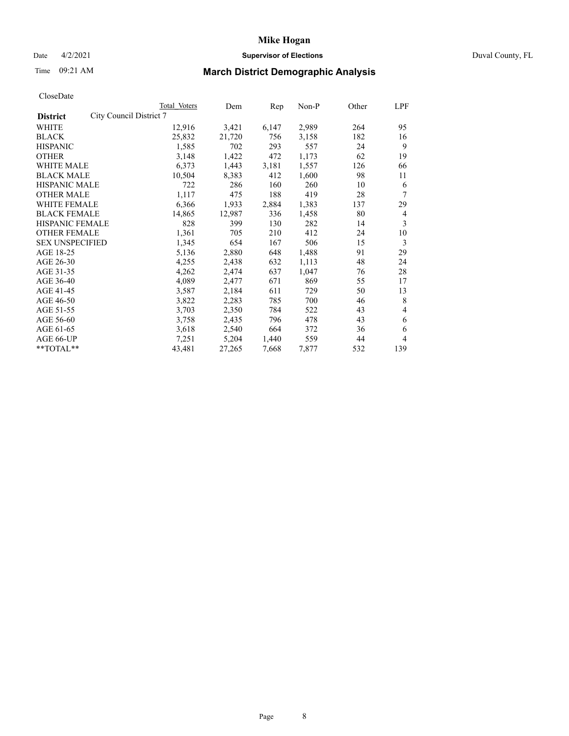## Date 4/2/2021 **Supervisor of Elections** Duval County, FL

# Time 09:21 AM **March District Demographic Analysis**

|                                            | Total Voters | Dem    | Rep   | Non-P | Other | LPF            |
|--------------------------------------------|--------------|--------|-------|-------|-------|----------------|
| City Council District 7<br><b>District</b> |              |        |       |       |       |                |
| WHITE                                      | 12,916       | 3,421  | 6,147 | 2,989 | 264   | 95             |
| <b>BLACK</b>                               | 25,832       | 21,720 | 756   | 3,158 | 182   | 16             |
| <b>HISPANIC</b>                            | 1,585        | 702    | 293   | 557   | 24    | 9              |
| <b>OTHER</b>                               | 3,148        | 1,422  | 472   | 1,173 | 62    | 19             |
| WHITE MALE                                 | 6,373        | 1,443  | 3,181 | 1,557 | 126   | 66             |
| <b>BLACK MALE</b>                          | 10,504       | 8,383  | 412   | 1,600 | 98    | 11             |
| <b>HISPANIC MALE</b>                       | 722          | 286    | 160   | 260   | 10    | 6              |
| <b>OTHER MALE</b>                          | 1,117        | 475    | 188   | 419   | 28    | 7              |
| WHITE FEMALE                               | 6,366        | 1,933  | 2,884 | 1,383 | 137   | 29             |
| <b>BLACK FEMALE</b>                        | 14,865       | 12,987 | 336   | 1,458 | 80    | $\overline{4}$ |
| <b>HISPANIC FEMALE</b>                     | 828          | 399    | 130   | 282   | 14    | 3              |
| <b>OTHER FEMALE</b>                        | 1,361        | 705    | 210   | 412   | 24    | 10             |
| <b>SEX UNSPECIFIED</b>                     | 1,345        | 654    | 167   | 506   | 15    | 3              |
| AGE 18-25                                  | 5,136        | 2,880  | 648   | 1,488 | 91    | 29             |
| AGE 26-30                                  | 4,255        | 2,438  | 632   | 1,113 | 48    | 24             |
| AGE 31-35                                  | 4,262        | 2,474  | 637   | 1,047 | 76    | 28             |
| AGE 36-40                                  | 4,089        | 2,477  | 671   | 869   | 55    | 17             |
| AGE 41-45                                  | 3,587        | 2,184  | 611   | 729   | 50    | 13             |
| AGE 46-50                                  | 3,822        | 2,283  | 785   | 700   | 46    | 8              |
| AGE 51-55                                  | 3,703        | 2,350  | 784   | 522   | 43    | 4              |
| AGE 56-60                                  | 3,758        | 2,435  | 796   | 478   | 43    | 6              |
| AGE 61-65                                  | 3,618        | 2,540  | 664   | 372   | 36    | 6              |
| AGE 66-UP                                  | 7,251        | 5,204  | 1,440 | 559   | 44    | 4              |
| $*$ $TOTAL**$                              | 43,481       | 27,265 | 7,668 | 7,877 | 532   | 139            |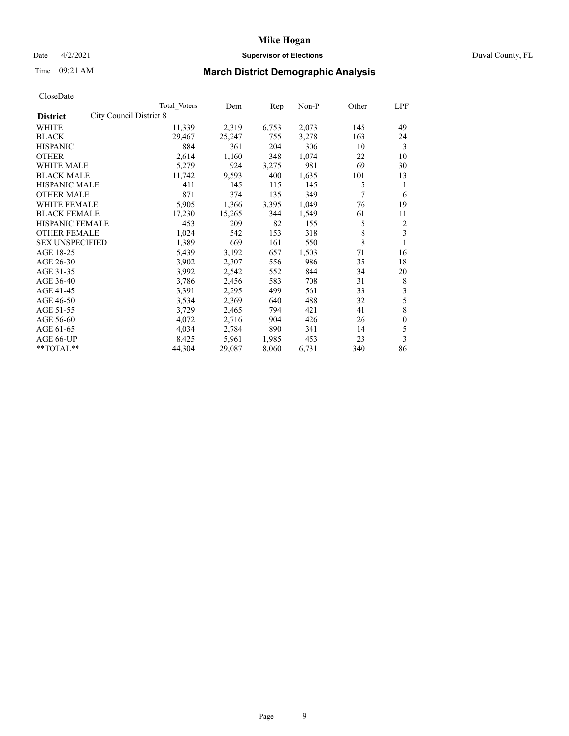## Date 4/2/2021 **Supervisor of Elections** Duval County, FL

# Time 09:21 AM **March District Demographic Analysis**

|                                                   | Total Voters | Dem    | Rep   | Non-P | Other | LPF          |
|---------------------------------------------------|--------------|--------|-------|-------|-------|--------------|
| <b>City Council District 8</b><br><b>District</b> |              |        |       |       |       |              |
| WHITE                                             | 11,339       | 2,319  | 6,753 | 2,073 | 145   | 49           |
| <b>BLACK</b>                                      | 29,467       | 25,247 | 755   | 3,278 | 163   | 24           |
| <b>HISPANIC</b>                                   | 884          | 361    | 204   | 306   | 10    | 3            |
| <b>OTHER</b>                                      | 2,614        | 1,160  | 348   | 1,074 | 22    | 10           |
| WHITE MALE                                        | 5,279        | 924    | 3,275 | 981   | 69    | 30           |
| <b>BLACK MALE</b>                                 | 11,742       | 9,593  | 400   | 1,635 | 101   | 13           |
| <b>HISPANIC MALE</b>                              | 411          | 145    | 115   | 145   | 5     | 1            |
| <b>OTHER MALE</b>                                 | 871          | 374    | 135   | 349   | 7     | 6            |
| WHITE FEMALE                                      | 5,905        | 1,366  | 3,395 | 1,049 | 76    | 19           |
| <b>BLACK FEMALE</b>                               | 17,230       | 15,265 | 344   | 1,549 | 61    | 11           |
| <b>HISPANIC FEMALE</b>                            | 453          | 209    | 82    | 155   | 5     | 2            |
| <b>OTHER FEMALE</b>                               | 1,024        | 542    | 153   | 318   | 8     | 3            |
| <b>SEX UNSPECIFIED</b>                            | 1,389        | 669    | 161   | 550   | 8     | 1            |
| AGE 18-25                                         | 5,439        | 3,192  | 657   | 1,503 | 71    | 16           |
| AGE 26-30                                         | 3,902        | 2,307  | 556   | 986   | 35    | 18           |
| AGE 31-35                                         | 3,992        | 2,542  | 552   | 844   | 34    | 20           |
| AGE 36-40                                         | 3,786        | 2,456  | 583   | 708   | 31    | 8            |
| AGE 41-45                                         | 3,391        | 2,295  | 499   | 561   | 33    | 3            |
| AGE 46-50                                         | 3,534        | 2,369  | 640   | 488   | 32    | 5            |
| AGE 51-55                                         | 3,729        | 2,465  | 794   | 421   | 41    | 8            |
| AGE 56-60                                         | 4,072        | 2,716  | 904   | 426   | 26    | $\mathbf{0}$ |
| AGE 61-65                                         | 4,034        | 2,784  | 890   | 341   | 14    | 5            |
| AGE 66-UP                                         | 8,425        | 5,961  | 1,985 | 453   | 23    | 3            |
| $*$ $TOTAL**$                                     | 44,304       | 29,087 | 8,060 | 6,731 | 340   | 86           |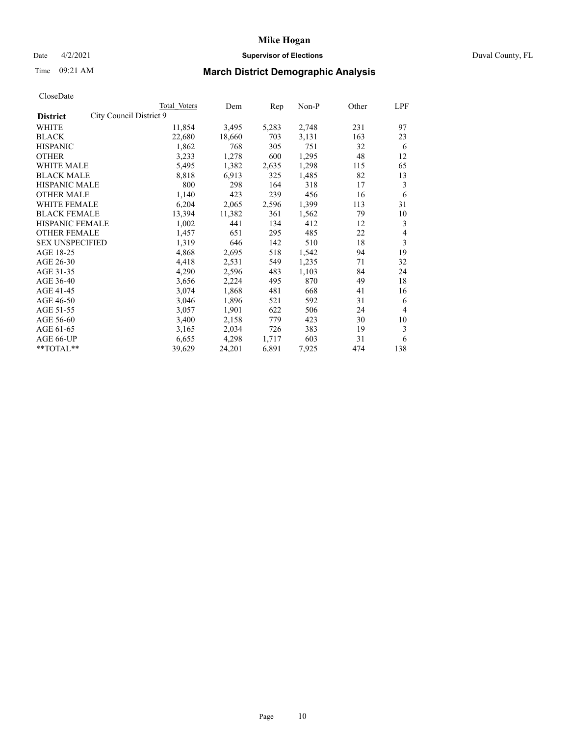## Date 4/2/2021 **Supervisor of Elections** Duval County, FL

# Time 09:21 AM **March District Demographic Analysis**

|                                            | Total Voters | Dem    | Rep   | $Non-P$ | Other | LPF |
|--------------------------------------------|--------------|--------|-------|---------|-------|-----|
| City Council District 9<br><b>District</b> |              |        |       |         |       |     |
| WHITE                                      | 11,854       | 3,495  | 5,283 | 2,748   | 231   | 97  |
| <b>BLACK</b>                               | 22,680       | 18,660 | 703   | 3,131   | 163   | 23  |
| <b>HISPANIC</b>                            | 1,862        | 768    | 305   | 751     | 32    | 6   |
| <b>OTHER</b>                               | 3,233        | 1,278  | 600   | 1,295   | 48    | 12  |
| <b>WHITE MALE</b>                          | 5,495        | 1,382  | 2,635 | 1,298   | 115   | 65  |
| <b>BLACK MALE</b>                          | 8,818        | 6,913  | 325   | 1,485   | 82    | 13  |
| <b>HISPANIC MALE</b>                       | 800          | 298    | 164   | 318     | 17    | 3   |
| <b>OTHER MALE</b>                          | 1,140        | 423    | 239   | 456     | 16    | 6   |
| WHITE FEMALE                               | 6,204        | 2,065  | 2,596 | 1,399   | 113   | 31  |
| <b>BLACK FEMALE</b>                        | 13,394       | 11,382 | 361   | 1,562   | 79    | 10  |
| HISPANIC FEMALE                            | 1,002        | 441    | 134   | 412     | 12    | 3   |
| <b>OTHER FEMALE</b>                        | 1,457        | 651    | 295   | 485     | 22    | 4   |
| <b>SEX UNSPECIFIED</b>                     | 1,319        | 646    | 142   | 510     | 18    | 3   |
| AGE 18-25                                  | 4,868        | 2,695  | 518   | 1,542   | 94    | 19  |
| AGE 26-30                                  | 4,418        | 2,531  | 549   | 1,235   | 71    | 32  |
| AGE 31-35                                  | 4,290        | 2,596  | 483   | 1,103   | 84    | 24  |
| AGE 36-40                                  | 3,656        | 2,224  | 495   | 870     | 49    | 18  |
| AGE 41-45                                  | 3,074        | 1,868  | 481   | 668     | 41    | 16  |
| AGE 46-50                                  | 3,046        | 1,896  | 521   | 592     | 31    | 6   |
| AGE 51-55                                  | 3,057        | 1,901  | 622   | 506     | 24    | 4   |
| AGE 56-60                                  | 3,400        | 2,158  | 779   | 423     | 30    | 10  |
| AGE 61-65                                  | 3,165        | 2,034  | 726   | 383     | 19    | 3   |
| AGE 66-UP                                  | 6,655        | 4,298  | 1,717 | 603     | 31    | 6   |
| $*$ $TOTAL**$                              | 39,629       | 24,201 | 6,891 | 7,925   | 474   | 138 |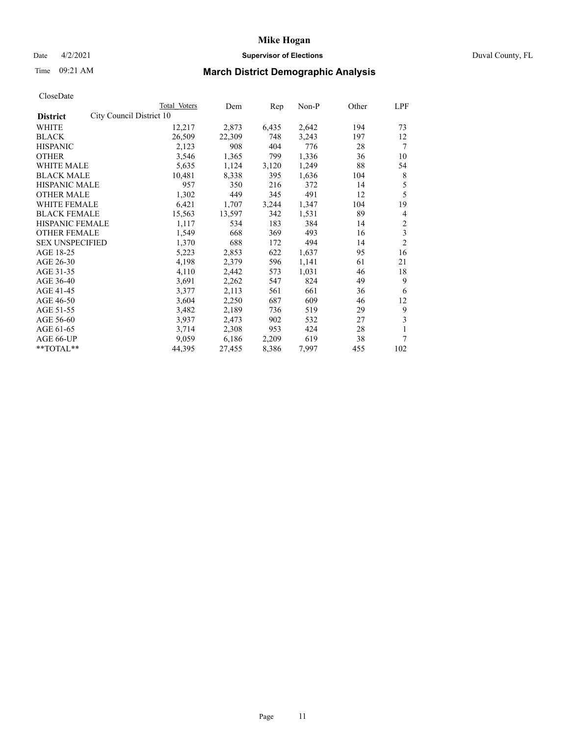## Date 4/2/2021 **Supervisor of Elections** Duval County, FL

# Time 09:21 AM **March District Demographic Analysis**

|                                             | Total Voters | Dem    | Rep   | Non-P | Other | LPF                     |
|---------------------------------------------|--------------|--------|-------|-------|-------|-------------------------|
| City Council District 10<br><b>District</b> |              |        |       |       |       |                         |
| WHITE                                       | 12,217       | 2,873  | 6,435 | 2,642 | 194   | 73                      |
| <b>BLACK</b>                                | 26,509       | 22,309 | 748   | 3,243 | 197   | 12                      |
| <b>HISPANIC</b>                             | 2,123        | 908    | 404   | 776   | 28    | 7                       |
| <b>OTHER</b>                                | 3,546        | 1,365  | 799   | 1,336 | 36    | 10                      |
| <b>WHITE MALE</b>                           | 5,635        | 1,124  | 3,120 | 1,249 | 88    | 54                      |
| <b>BLACK MALE</b>                           | 10,481       | 8,338  | 395   | 1,636 | 104   | 8                       |
| <b>HISPANIC MALE</b>                        | 957          | 350    | 216   | 372   | 14    | 5                       |
| <b>OTHER MALE</b>                           | 1,302        | 449    | 345   | 491   | 12    | 5                       |
| WHITE FEMALE                                | 6,421        | 1,707  | 3,244 | 1,347 | 104   | 19                      |
| <b>BLACK FEMALE</b>                         | 15,563       | 13,597 | 342   | 1,531 | 89    | 4                       |
| <b>HISPANIC FEMALE</b>                      | 1,117        | 534    | 183   | 384   | 14    | $\overline{\mathbf{c}}$ |
| <b>OTHER FEMALE</b>                         | 1,549        | 668    | 369   | 493   | 16    | 3                       |
| <b>SEX UNSPECIFIED</b>                      | 1,370        | 688    | 172   | 494   | 14    | $\overline{2}$          |
| AGE 18-25                                   | 5,223        | 2,853  | 622   | 1,637 | 95    | 16                      |
| AGE 26-30                                   | 4,198        | 2,379  | 596   | 1,141 | 61    | 21                      |
| AGE 31-35                                   | 4,110        | 2,442  | 573   | 1,031 | 46    | 18                      |
| AGE 36-40                                   | 3,691        | 2,262  | 547   | 824   | 49    | 9                       |
| AGE 41-45                                   | 3,377        | 2,113  | 561   | 661   | 36    | 6                       |
| AGE 46-50                                   | 3,604        | 2,250  | 687   | 609   | 46    | 12                      |
| AGE 51-55                                   | 3,482        | 2,189  | 736   | 519   | 29    | 9                       |
| AGE 56-60                                   | 3,937        | 2,473  | 902   | 532   | 27    | 3                       |
| AGE 61-65                                   | 3,714        | 2,308  | 953   | 424   | 28    | 1                       |
| AGE 66-UP                                   | 9,059        | 6,186  | 2,209 | 619   | 38    | 7                       |
| **TOTAL**                                   | 44,395       | 27,455 | 8,386 | 7,997 | 455   | 102                     |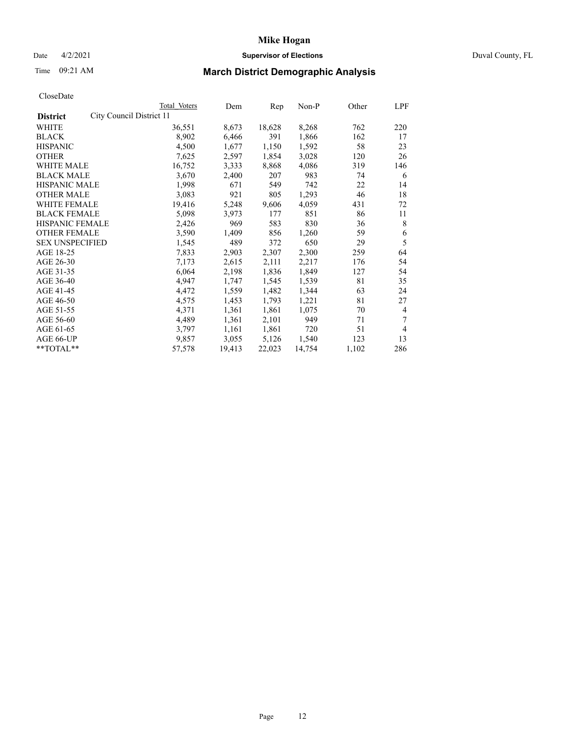## Date 4/2/2021 **Supervisor of Elections** Duval County, FL

# Time 09:21 AM **March District Demographic Analysis**

| Total Voters             | Dem    | Rep    | Non-P  |       | LPF   |
|--------------------------|--------|--------|--------|-------|-------|
| City Council District 11 |        |        |        |       |       |
| 36,551                   | 8,673  | 18,628 | 8,268  | 762   | 220   |
| 8,902                    | 6,466  | 391    | 1,866  | 162   | 17    |
| 4,500                    | 1,677  | 1,150  | 1,592  | 58    | 23    |
| 7,625                    | 2,597  | 1,854  | 3,028  | 120   | 26    |
| 16,752                   | 3,333  | 8,868  | 4,086  | 319   | 146   |
| 3,670                    | 2,400  | 207    | 983    | 74    | 6     |
| 1,998                    | 671    | 549    | 742    | 22    | 14    |
| 3,083                    | 921    | 805    | 1,293  | 46    | 18    |
| 19,416                   | 5,248  | 9,606  | 4,059  | 431   | 72    |
| 5,098                    | 3,973  | 177    | 851    | 86    | 11    |
| HISPANIC FEMALE<br>2,426 | 969    | 583    | 830    | 36    | 8     |
| 3,590                    | 1,409  | 856    | 1,260  | 59    | 6     |
| 1,545                    | 489    | 372    | 650    | 29    | 5     |
| 7,833                    | 2,903  | 2,307  | 2,300  | 259   | 64    |
| 7,173                    | 2,615  | 2,111  | 2,217  | 176   | 54    |
| 6,064                    | 2,198  | 1,836  | 1,849  | 127   | 54    |
| 4,947                    | 1,747  | 1,545  | 1,539  | 81    | 35    |
| 4,472                    | 1,559  | 1,482  | 1,344  | 63    | 24    |
| 4,575                    | 1,453  | 1,793  | 1,221  | 81    | 27    |
| 4,371                    | 1,361  | 1,861  | 1,075  | 70    | 4     |
| 4,489                    | 1,361  | 2,101  | 949    | 71    | 7     |
| 3,797                    | 1,161  | 1,861  | 720    | 51    | 4     |
| 9,857                    | 3,055  | 5,126  | 1,540  | 123   | 13    |
| 57,578                   | 19,413 | 22,023 | 14,754 | 1,102 | 286   |
|                          |        |        |        |       | Other |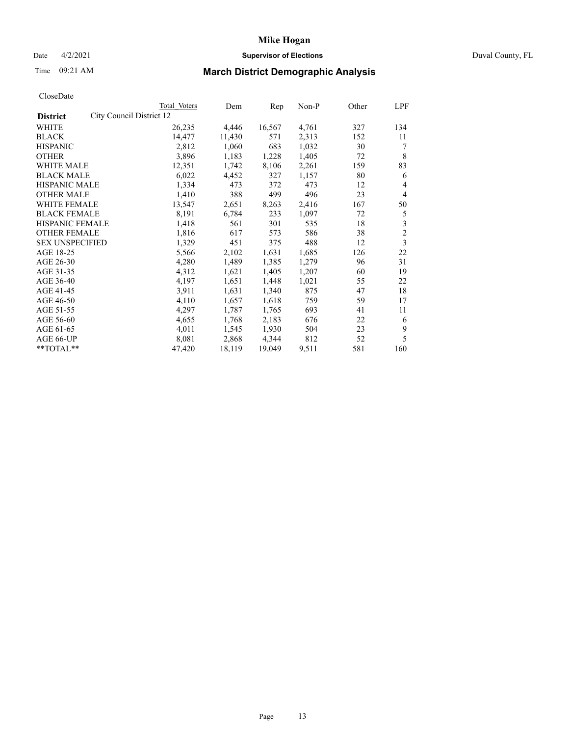## Date 4/2/2021 **Supervisor of Elections** Duval County, FL

# Time 09:21 AM **March District Demographic Analysis**

|                        |                          | Total Voters | Dem    | Rep    | Non-P | Other | LPF            |
|------------------------|--------------------------|--------------|--------|--------|-------|-------|----------------|
| <b>District</b>        | City Council District 12 |              |        |        |       |       |                |
| WHITE                  |                          | 26,235       | 4,446  | 16,567 | 4,761 | 327   | 134            |
| <b>BLACK</b>           |                          | 14,477       | 11,430 | 571    | 2,313 | 152   | 11             |
| <b>HISPANIC</b>        |                          | 2,812        | 1,060  | 683    | 1,032 | 30    | 7              |
| <b>OTHER</b>           |                          | 3,896        | 1,183  | 1,228  | 1,405 | 72    | 8              |
| <b>WHITE MALE</b>      |                          | 12,351       | 1,742  | 8,106  | 2,261 | 159   | 83             |
| <b>BLACK MALE</b>      |                          | 6,022        | 4,452  | 327    | 1,157 | 80    | 6              |
| <b>HISPANIC MALE</b>   |                          | 1,334        | 473    | 372    | 473   | 12    | 4              |
| <b>OTHER MALE</b>      |                          | 1,410        | 388    | 499    | 496   | 23    | 4              |
| WHITE FEMALE           |                          | 13,547       | 2,651  | 8,263  | 2,416 | 167   | 50             |
| <b>BLACK FEMALE</b>    |                          | 8,191        | 6,784  | 233    | 1,097 | 72    | 5              |
| HISPANIC FEMALE        |                          | 1,418        | 561    | 301    | 535   | 18    | 3              |
| <b>OTHER FEMALE</b>    |                          | 1,816        | 617    | 573    | 586   | 38    | $\overline{c}$ |
| <b>SEX UNSPECIFIED</b> |                          | 1,329        | 451    | 375    | 488   | 12    | 3              |
| AGE 18-25              |                          | 5,566        | 2,102  | 1,631  | 1,685 | 126   | 22             |
| AGE 26-30              |                          | 4,280        | 1,489  | 1,385  | 1,279 | 96    | 31             |
| AGE 31-35              |                          | 4,312        | 1,621  | 1,405  | 1,207 | 60    | 19             |
| AGE 36-40              |                          | 4,197        | 1,651  | 1,448  | 1,021 | 55    | 22             |
| AGE 41-45              |                          | 3,911        | 1,631  | 1,340  | 875   | 47    | 18             |
| AGE 46-50              |                          | 4,110        | 1,657  | 1,618  | 759   | 59    | 17             |
| AGE 51-55              |                          | 4,297        | 1,787  | 1,765  | 693   | 41    | 11             |
| AGE 56-60              |                          | 4,655        | 1,768  | 2,183  | 676   | 22    | 6              |
| AGE 61-65              |                          | 4,011        | 1,545  | 1,930  | 504   | 23    | 9              |
| AGE 66-UP              |                          | 8,081        | 2,868  | 4,344  | 812   | 52    | 5              |
| **TOTAL**              |                          | 47,420       | 18,119 | 19,049 | 9,511 | 581   | 160            |
|                        |                          |              |        |        |       |       |                |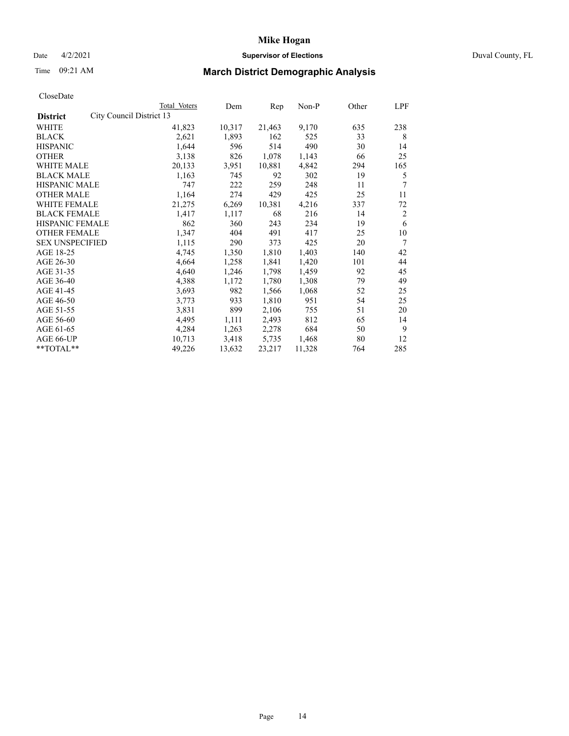## Date 4/2/2021 **Supervisor of Elections** Duval County, FL

# Time 09:21 AM **March District Demographic Analysis**

|                        |                          | Total Voters | Dem    | Rep    | Non-P  | Other | LPF            |
|------------------------|--------------------------|--------------|--------|--------|--------|-------|----------------|
| <b>District</b>        | City Council District 13 |              |        |        |        |       |                |
| WHITE                  |                          | 41,823       | 10,317 | 21,463 | 9,170  | 635   | 238            |
| <b>BLACK</b>           |                          | 2,621        | 1,893  | 162    | 525    | 33    | 8              |
| <b>HISPANIC</b>        |                          | 1,644        | 596    | 514    | 490    | 30    | 14             |
| <b>OTHER</b>           |                          | 3,138        | 826    | 1,078  | 1,143  | 66    | 25             |
| <b>WHITE MALE</b>      |                          | 20,133       | 3,951  | 10,881 | 4,842  | 294   | 165            |
| <b>BLACK MALE</b>      |                          | 1,163        | 745    | 92     | 302    | 19    | 5              |
| <b>HISPANIC MALE</b>   |                          | 747          | 222    | 259    | 248    | 11    | 7              |
| <b>OTHER MALE</b>      |                          | 1,164        | 274    | 429    | 425    | 25    | 11             |
| WHITE FEMALE           |                          | 21,275       | 6,269  | 10,381 | 4,216  | 337   | 72             |
| <b>BLACK FEMALE</b>    |                          | 1,417        | 1,117  | 68     | 216    | 14    | $\overline{2}$ |
| HISPANIC FEMALE        |                          | 862          | 360    | 243    | 234    | 19    | 6              |
| <b>OTHER FEMALE</b>    |                          | 1,347        | 404    | 491    | 417    | 25    | 10             |
| <b>SEX UNSPECIFIED</b> |                          | 1,115        | 290    | 373    | 425    | 20    | 7              |
| AGE 18-25              |                          | 4,745        | 1,350  | 1,810  | 1,403  | 140   | 42             |
| AGE 26-30              |                          | 4,664        | 1,258  | 1,841  | 1,420  | 101   | 44             |
| AGE 31-35              |                          | 4,640        | 1,246  | 1,798  | 1,459  | 92    | 45             |
| AGE 36-40              |                          | 4,388        | 1,172  | 1,780  | 1,308  | 79    | 49             |
| AGE 41-45              |                          | 3,693        | 982    | 1,566  | 1,068  | 52    | 25             |
| AGE 46-50              |                          | 3,773        | 933    | 1,810  | 951    | 54    | 25             |
| AGE 51-55              |                          | 3,831        | 899    | 2,106  | 755    | 51    | 20             |
| AGE 56-60              |                          | 4,495        | 1,111  | 2,493  | 812    | 65    | 14             |
| AGE 61-65              |                          | 4,284        | 1,263  | 2,278  | 684    | 50    | 9              |
| AGE 66-UP              |                          | 10,713       | 3,418  | 5,735  | 1,468  | 80    | 12             |
| **TOTAL**              |                          | 49,226       | 13,632 | 23,217 | 11,328 | 764   | 285            |
|                        |                          |              |        |        |        |       |                |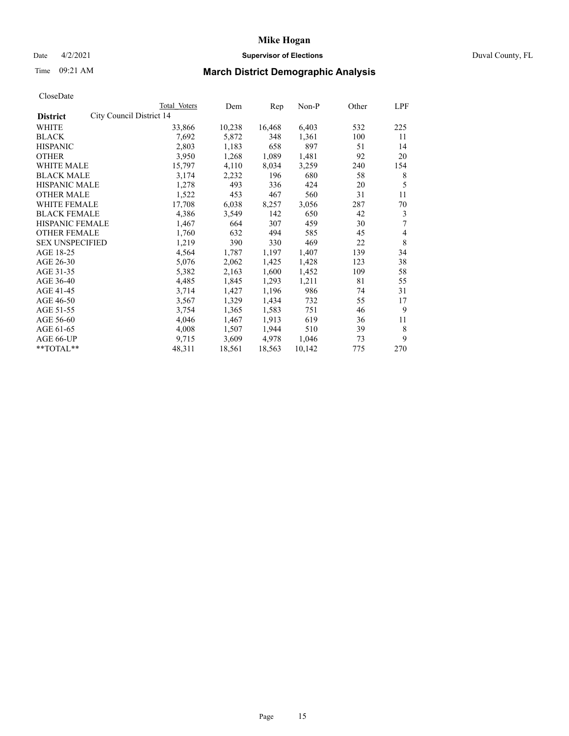## Date 4/2/2021 **Supervisor of Elections** Duval County, FL

# Time 09:21 AM **March District Demographic Analysis**

|                                             | <b>Total Voters</b> | Dem    | Rep    | $Non-P$ | Other | <b>LPF</b> |
|---------------------------------------------|---------------------|--------|--------|---------|-------|------------|
| City Council District 14<br><b>District</b> |                     |        |        |         |       |            |
| WHITE                                       | 33,866              | 10,238 | 16,468 | 6,403   | 532   | 225        |
| <b>BLACK</b>                                | 7,692               | 5,872  | 348    | 1,361   | 100   | 11         |
| <b>HISPANIC</b>                             | 2,803               | 1,183  | 658    | 897     | 51    | 14         |
| <b>OTHER</b>                                | 3,950               | 1,268  | 1,089  | 1,481   | 92    | 20         |
| <b>WHITE MALE</b>                           | 15,797              | 4,110  | 8,034  | 3,259   | 240   | 154        |
| <b>BLACK MALE</b>                           | 3,174               | 2,232  | 196    | 680     | 58    | 8          |
| <b>HISPANIC MALE</b>                        | 1,278               | 493    | 336    | 424     | 20    | 5          |
| <b>OTHER MALE</b>                           | 1,522               | 453    | 467    | 560     | 31    | 11         |
| WHITE FEMALE                                | 17,708              | 6,038  | 8,257  | 3,056   | 287   | 70         |
| <b>BLACK FEMALE</b>                         | 4,386               | 3,549  | 142    | 650     | 42    | 3          |
| HISPANIC FEMALE                             | 1,467               | 664    | 307    | 459     | 30    | 7          |
| <b>OTHER FEMALE</b>                         | 1,760               | 632    | 494    | 585     | 45    | 4          |
| <b>SEX UNSPECIFIED</b>                      | 1,219               | 390    | 330    | 469     | 22    | 8          |
| AGE 18-25                                   | 4,564               | 1,787  | 1,197  | 1,407   | 139   | 34         |
| AGE 26-30                                   | 5,076               | 2,062  | 1,425  | 1,428   | 123   | 38         |
| AGE 31-35                                   | 5,382               | 2,163  | 1,600  | 1,452   | 109   | 58         |
| AGE 36-40                                   | 4,485               | 1,845  | 1,293  | 1,211   | 81    | 55         |
| AGE 41-45                                   | 3,714               | 1,427  | 1,196  | 986     | 74    | 31         |
| AGE 46-50                                   | 3,567               | 1,329  | 1,434  | 732     | 55    | 17         |
| AGE 51-55                                   | 3,754               | 1,365  | 1,583  | 751     | 46    | 9          |
| AGE 56-60                                   | 4,046               | 1,467  | 1,913  | 619     | 36    | 11         |
| AGE 61-65                                   | 4,008               | 1,507  | 1,944  | 510     | 39    | 8          |
| AGE 66-UP                                   | 9,715               | 3,609  | 4,978  | 1,046   | 73    | 9          |
| **TOTAL**                                   | 48,311              | 18,561 | 18,563 | 10,142  | 775   | 270        |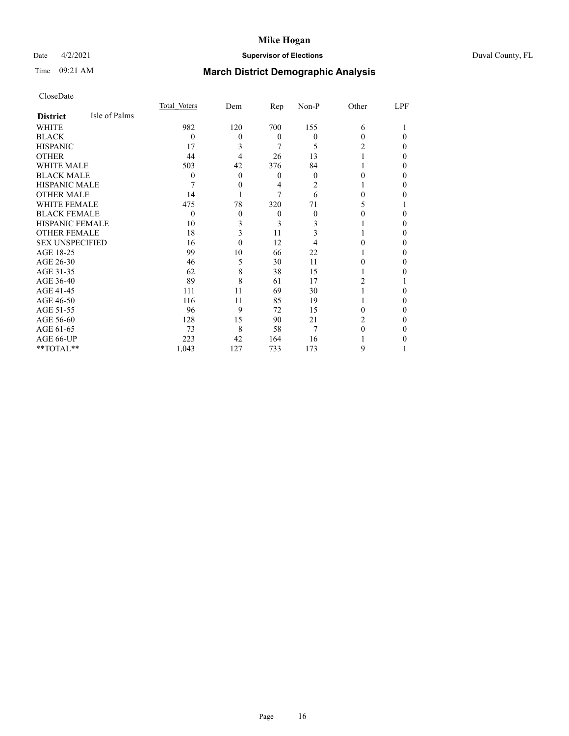## Date 4/2/2021 **Supervisor of Elections** Duval County, FL

# Time 09:21 AM **March District Demographic Analysis**

|                        |               | Total Voters | Dem      | Rep          | Non-P    | Other | LPF |
|------------------------|---------------|--------------|----------|--------------|----------|-------|-----|
| <b>District</b>        | Isle of Palms |              |          |              |          |       |     |
| WHITE                  |               | 982          | 120      | 700          | 155      | 6     |     |
| <b>BLACK</b>           |               | $\theta$     | $\theta$ | $\theta$     | $\Omega$ | 0     | 0   |
| <b>HISPANIC</b>        |               | 17           | 3        | 7            | 5        | 2     | 0   |
| <b>OTHER</b>           |               | 44           | 4        | 26           | 13       |       | 0   |
| WHITE MALE             |               | 503          | 42       | 376          | 84       |       | 0   |
| <b>BLACK MALE</b>      |               | 0            | $\theta$ | $\mathbf{0}$ | $\Omega$ | 0     | 0   |
| HISPANIC MALE          |               |              | 0        | 4            | 2        |       | 0   |
| <b>OTHER MALE</b>      |               | 14           |          | 7            | 6        | 0     | 0   |
| WHITE FEMALE           |               | 475          | 78       | 320          | 71       |       |     |
| <b>BLACK FEMALE</b>    |               | $\Omega$     | $\theta$ | $\mathbf{0}$ | $\Omega$ | 0     | 0   |
| <b>HISPANIC FEMALE</b> |               | 10           | 3        | 3            | 3        |       | 0   |
| <b>OTHER FEMALE</b>    |               | 18           | 3        | 11           | 3        |       | 0   |
| <b>SEX UNSPECIFIED</b> |               | 16           | $\theta$ | 12           | 4        |       | 0   |
| AGE 18-25              |               | 99           | 10       | 66           | 22       |       | 0   |
| AGE 26-30              |               | 46           | 5        | 30           | 11       | 0     | 0   |
| AGE 31-35              |               | 62           | 8        | 38           | 15       |       | 0   |
| AGE 36-40              |               | 89           | 8        | 61           | 17       | 2     |     |
| AGE 41-45              |               | 111          | 11       | 69           | 30       |       | 0   |
| AGE 46-50              |               | 116          | 11       | 85           | 19       |       | 0   |
| AGE 51-55              |               | 96           | 9        | 72           | 15       | 0     | 0   |
| AGE 56-60              |               | 128          | 15       | 90           | 21       | 2     | 0   |
| AGE 61-65              |               | 73           | 8        | 58           | 7        | 0     | 0   |
| AGE 66-UP              |               | 223          | 42       | 164          | 16       |       |     |
| **TOTAL**              |               | 1,043        | 127      | 733          | 173      | 9     |     |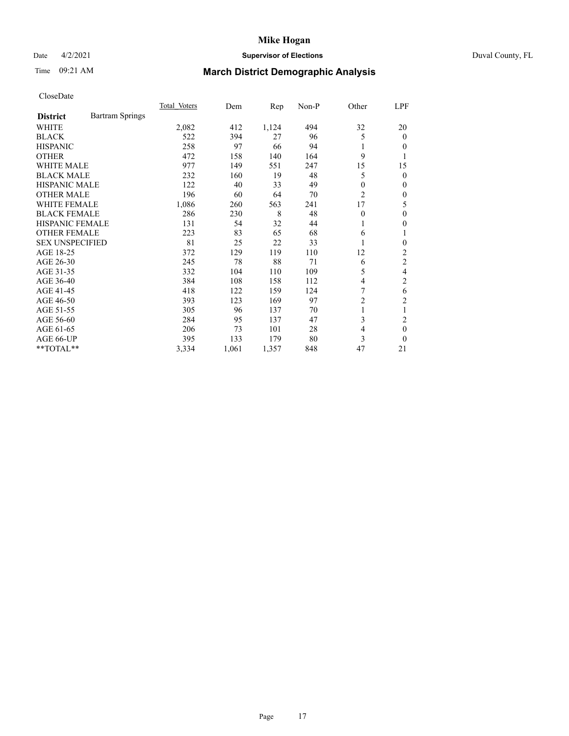## Date 4/2/2021 **Supervisor of Elections** Duval County, FL

# Time 09:21 AM **March District Demographic Analysis**

|                        |                        | Total Voters | Dem   | Rep   | $Non-P$ | Other          | LPF            |
|------------------------|------------------------|--------------|-------|-------|---------|----------------|----------------|
| <b>District</b>        | <b>Bartram Springs</b> |              |       |       |         |                |                |
| WHITE                  |                        | 2,082        | 412   | 1,124 | 494     | 32             | 20             |
| <b>BLACK</b>           |                        | 522          | 394   | 27    | 96      | 5              | $\Omega$       |
| <b>HISPANIC</b>        |                        | 258          | 97    | 66    | 94      | 1              | 0              |
| <b>OTHER</b>           |                        | 472          | 158   | 140   | 164     | 9              |                |
| <b>WHITE MALE</b>      |                        | 977          | 149   | 551   | 247     | 15             | 15             |
| <b>BLACK MALE</b>      |                        | 232          | 160   | 19    | 48      | 5              | 0              |
| <b>HISPANIC MALE</b>   |                        | 122          | 40    | 33    | 49      | 0              | 0              |
| <b>OTHER MALE</b>      |                        | 196          | 60    | 64    | 70      | 2              | 0              |
| WHITE FEMALE           |                        | 1,086        | 260   | 563   | 241     | 17             | 5              |
| <b>BLACK FEMALE</b>    |                        | 286          | 230   | 8     | 48      | $\theta$       | 0              |
| <b>HISPANIC FEMALE</b> |                        | 131          | 54    | 32    | 44      | 1              | 0              |
| <b>OTHER FEMALE</b>    |                        | 223          | 83    | 65    | 68      | 6              | 1              |
| <b>SEX UNSPECIFIED</b> |                        | 81           | 25    | 22    | 33      | 1              | 0              |
| AGE 18-25              |                        | 372          | 129   | 119   | 110     | 12             | 2              |
| AGE 26-30              |                        | 245          | 78    | 88    | 71      | 6              | 2              |
| AGE 31-35              |                        | 332          | 104   | 110   | 109     | 5              | 4              |
| AGE 36-40              |                        | 384          | 108   | 158   | 112     | 4              | 2              |
| AGE 41-45              |                        | 418          | 122   | 159   | 124     | 7              | 6              |
| AGE 46-50              |                        | 393          | 123   | 169   | 97      | $\overline{c}$ | $\overline{c}$ |
| AGE 51-55              |                        | 305          | 96    | 137   | 70      | 1              |                |
| AGE 56-60              |                        | 284          | 95    | 137   | 47      | 3              | 2              |
| AGE 61-65              |                        | 206          | 73    | 101   | 28      | 4              | $\theta$       |
| AGE 66-UP              |                        | 395          | 133   | 179   | 80      | 3              | 0              |
| **TOTAL**              |                        | 3,334        | 1,061 | 1,357 | 848     | 47             | 21             |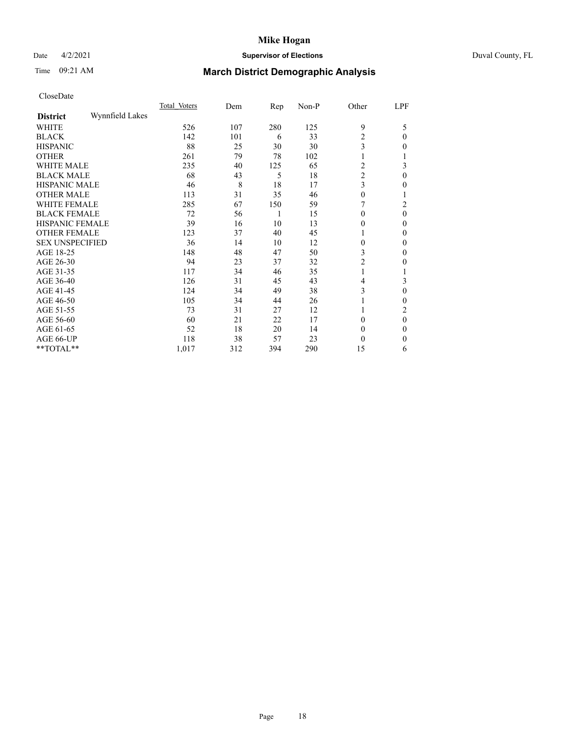## Date 4/2/2021 **Supervisor of Elections** Duval County, FL

# Time 09:21 AM **March District Demographic Analysis**

|                        |                 | Total Voters | Dem | Rep | Non-P | Other          | LPF      |
|------------------------|-----------------|--------------|-----|-----|-------|----------------|----------|
| <b>District</b>        | Wynnfield Lakes |              |     |     |       |                |          |
| WHITE                  |                 | 526          | 107 | 280 | 125   | 9              | 5        |
| <b>BLACK</b>           |                 | 142          | 101 | 6   | 33    | $\overline{2}$ | $\Omega$ |
| <b>HISPANIC</b>        |                 | 88           | 25  | 30  | 30    | 3              | 0        |
| <b>OTHER</b>           |                 | 261          | 79  | 78  | 102   | 1              |          |
| WHITE MALE             |                 | 235          | 40  | 125 | 65    | $\overline{c}$ | 3        |
| <b>BLACK MALE</b>      |                 | 68           | 43  | 5   | 18    | $\overline{c}$ | $\theta$ |
| <b>HISPANIC MALE</b>   |                 | 46           | 8   | 18  | 17    | 3              | 0        |
| <b>OTHER MALE</b>      |                 | 113          | 31  | 35  | 46    | $\mathbf{0}$   |          |
| WHITE FEMALE           |                 | 285          | 67  | 150 | 59    |                | 2        |
| <b>BLACK FEMALE</b>    |                 | 72           | 56  | 1   | 15    | $\Omega$       | $\theta$ |
| <b>HISPANIC FEMALE</b> |                 | 39           | 16  | 10  | 13    | $\Omega$       | 0        |
| <b>OTHER FEMALE</b>    |                 | 123          | 37  | 40  | 45    | 1              | 0        |
| <b>SEX UNSPECIFIED</b> |                 | 36           | 14  | 10  | 12    | $\theta$       | 0        |
| AGE 18-25              |                 | 148          | 48  | 47  | 50    | 3              | $\Omega$ |
| AGE 26-30              |                 | 94           | 23  | 37  | 32    | $\overline{c}$ | 0        |
| AGE 31-35              |                 | 117          | 34  | 46  | 35    | 1              |          |
| AGE 36-40              |                 | 126          | 31  | 45  | 43    | 4              | 3        |
| AGE 41-45              |                 | 124          | 34  | 49  | 38    | 3              | 0        |
| AGE 46-50              |                 | 105          | 34  | 44  | 26    |                | 0        |
| AGE 51-55              |                 | 73           | 31  | 27  | 12    |                | 2        |
| AGE 56-60              |                 | 60           | 21  | 22  | 17    | $\theta$       | $\theta$ |
| AGE 61-65              |                 | 52           | 18  | 20  | 14    | $\Omega$       | 0        |
| AGE 66-UP              |                 | 118          | 38  | 57  | 23    | $\theta$       | $\Omega$ |
| **TOTAL**              |                 | 1,017        | 312 | 394 | 290   | 15             | 6        |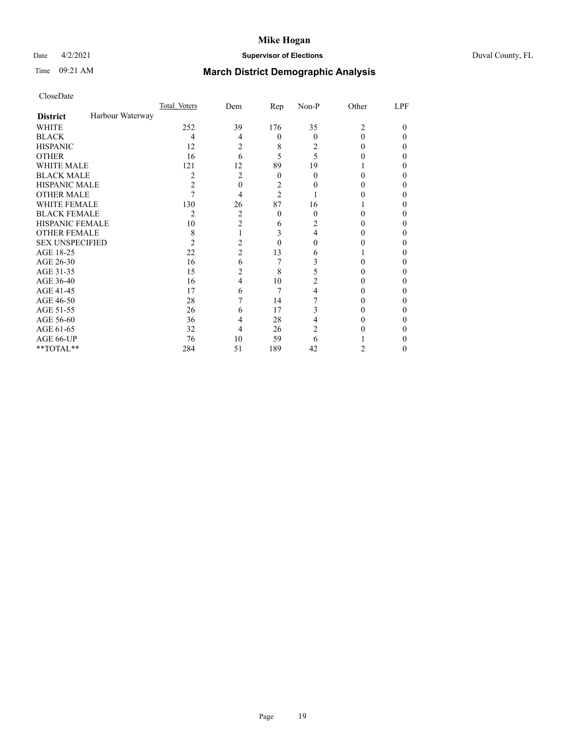## Date 4/2/2021 **Supervisor of Elections** Duval County, FL

# Time 09:21 AM **March District Demographic Analysis**

|                        |                  | Total Voters | Dem            | Rep            | Non-P    | Other | LPF |
|------------------------|------------------|--------------|----------------|----------------|----------|-------|-----|
| <b>District</b>        | Harbour Waterway |              |                |                |          |       |     |
| WHITE                  |                  | 252          | 39             | 176            | 35       | 2     | 0   |
| <b>BLACK</b>           |                  | 4            | 4              | $\theta$       | $\Omega$ | 0     | 0   |
| <b>HISPANIC</b>        |                  | 12           | 2              | 8              | 2        | 0     | 0   |
| <b>OTHER</b>           |                  | 16           | 6              | 5              | 5        |       | 0   |
| WHITE MALE             |                  | 121          | 12             | 89             | 19       |       |     |
| <b>BLACK MALE</b>      |                  | 2            | 2              | $\theta$       | 0        | 0     | 0   |
| <b>HISPANIC MALE</b>   |                  | 2            | 0              | 2              |          |       |     |
| <b>OTHER MALE</b>      |                  |              | 4              | $\overline{2}$ |          |       | 0   |
| WHITE FEMALE           |                  | 130          | 26             | 87             | 16       |       |     |
| <b>BLACK FEMALE</b>    |                  | 2            | 2              | $\theta$       | 0        | 0     | 0   |
| <b>HISPANIC FEMALE</b> |                  | 10           | $\overline{2}$ | 6              | 2        |       |     |
| <b>OTHER FEMALE</b>    |                  | 8            |                | 3              | 4        | 0     | 0   |
| <b>SEX UNSPECIFIED</b> |                  | 2            | 2              | $\Omega$       | 0        |       | 0   |
| AGE 18-25              |                  | 22           | $\overline{c}$ | 13             | 6        |       |     |
| AGE 26-30              |                  | 16           | 6              | 7              | 3        | 0     | 0   |
| AGE 31-35              |                  | 15           | 2              | 8              | 5        |       | 0   |
| AGE 36-40              |                  | 16           | 4              | 10             | 2        |       | 0   |
| AGE 41-45              |                  | 17           | 6              | 7              | 4        |       |     |
| AGE 46-50              |                  | 28           |                | 14             |          | 0     | 0   |
| AGE 51-55              |                  | 26           | 6              | 17             | 3        |       |     |
| AGE 56-60              |                  | 36           | 4              | 28             | 4        |       |     |
| AGE 61-65              |                  | 32           | 4              | 26             | 2        |       |     |
| AGE 66-UP              |                  | 76           | 10             | 59             | 6        |       |     |
| **TOTAL**              |                  | 284          | 51             | 189            | 42       | 2     | 0   |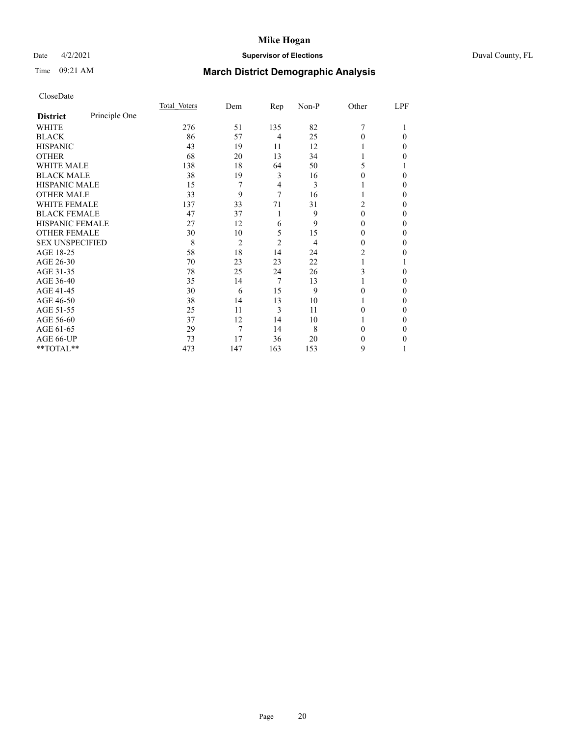## Date 4/2/2021 **Supervisor of Elections** Duval County, FL

# Time 09:21 AM **March District Demographic Analysis**

|                        |               | Total Voters | Dem            | Rep            | Non-P | Other    | LPF |
|------------------------|---------------|--------------|----------------|----------------|-------|----------|-----|
| <b>District</b>        | Principle One |              |                |                |       |          |     |
| WHITE                  |               | 276          | 51             | 135            | 82    | 7        |     |
| <b>BLACK</b>           |               | 86           | 57             | $\overline{4}$ | 25    | 0        | 0   |
| <b>HISPANIC</b>        |               | 43           | 19             | 11             | 12    |          | 0   |
| <b>OTHER</b>           |               | 68           | 20             | 13             | 34    |          | 0   |
| <b>WHITE MALE</b>      |               | 138          | 18             | 64             | 50    | 5.       |     |
| <b>BLACK MALE</b>      |               | 38           | 19             | 3              | 16    | 0        | 0   |
| <b>HISPANIC MALE</b>   |               | 15           | 7              | 4              | 3     |          | 0   |
| <b>OTHER MALE</b>      |               | 33           | 9              | 7              | 16    |          | 0   |
| <b>WHITE FEMALE</b>    |               | 137          | 33             | 71             | 31    | 2        | 0   |
| <b>BLACK FEMALE</b>    |               | 47           | 37             | 1              | 9     | 0        | 0   |
| <b>HISPANIC FEMALE</b> |               | 27           | 12             | 6              | 9     | 0        | 0   |
| <b>OTHER FEMALE</b>    |               | 30           | 10             | 5              | 15    | 0        | 0   |
| <b>SEX UNSPECIFIED</b> |               | 8            | $\overline{2}$ | $\overline{2}$ | 4     | $\theta$ | 0   |
| AGE 18-25              |               | 58           | 18             | 14             | 24    | 2        | 0   |
| AGE 26-30              |               | 70           | 23             | 23             | 22    |          |     |
| AGE 31-35              |               | 78           | 25             | 24             | 26    | 3        | 0   |
| AGE 36-40              |               | 35           | 14             | 7              | 13    |          | 0   |
| AGE 41-45              |               | 30           | 6              | 15             | 9     | 0        | 0   |
| AGE 46-50              |               | 38           | 14             | 13             | 10    |          | 0   |
| AGE 51-55              |               | 25           | 11             | 3              | 11    | 0        | 0   |
| AGE 56-60              |               | 37           | 12             | 14             | 10    |          | 0   |
| AGE 61-65              |               | 29           | 7              | 14             | 8     | 0        | 0   |
| AGE 66-UP              |               | 73           | 17             | 36             | 20    | $\theta$ | 0   |
| **TOTAL**              |               | 473          | 147            | 163            | 153   | 9        |     |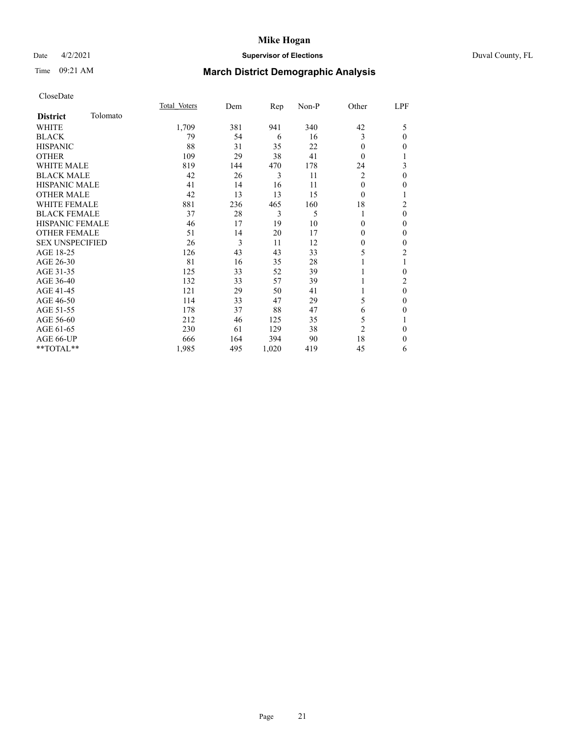## Date 4/2/2021 **Supervisor of Elections** Duval County, FL

# Time 09:21 AM **March District Demographic Analysis**

|                        |          | Total Voters | Dem | Rep   | Non-P | Other          | LPF            |
|------------------------|----------|--------------|-----|-------|-------|----------------|----------------|
| <b>District</b>        | Tolomato |              |     |       |       |                |                |
| WHITE                  |          | 1,709        | 381 | 941   | 340   | 42             | 5              |
| <b>BLACK</b>           |          | 79           | 54  | 6     | 16    | 3              | $\mathbf{0}$   |
| <b>HISPANIC</b>        |          | 88           | 31  | 35    | 22    | $\Omega$       | $\mathbf{0}$   |
| <b>OTHER</b>           |          | 109          | 29  | 38    | 41    | $\theta$       | 1              |
| <b>WHITE MALE</b>      |          | 819          | 144 | 470   | 178   | 24             | 3              |
| <b>BLACK MALE</b>      |          | 42           | 26  | 3     | 11    | 2              | $\mathbf{0}$   |
| <b>HISPANIC MALE</b>   |          | 41           | 14  | 16    | 11    | $\mathbf{0}$   | $\mathbf{0}$   |
| <b>OTHER MALE</b>      |          | 42           | 13  | 13    | 15    | $\theta$       | 1              |
| <b>WHITE FEMALE</b>    |          | 881          | 236 | 465   | 160   | 18             | $\overline{c}$ |
| <b>BLACK FEMALE</b>    |          | 37           | 28  | 3     | 5     |                | $\mathbf{0}$   |
| <b>HISPANIC FEMALE</b> |          | 46           | 17  | 19    | 10    | 0              | $\theta$       |
| <b>OTHER FEMALE</b>    |          | 51           | 14  | 20    | 17    | $\Omega$       | $\mathbf{0}$   |
| <b>SEX UNSPECIFIED</b> |          | 26           | 3   | 11    | 12    | 0              | $\mathbf{0}$   |
| AGE 18-25              |          | 126          | 43  | 43    | 33    | 5              | $\overline{2}$ |
| AGE 26-30              |          | 81           | 16  | 35    | 28    |                | 1              |
| AGE 31-35              |          | 125          | 33  | 52    | 39    |                | $\mathbf{0}$   |
| AGE 36-40              |          | 132          | 33  | 57    | 39    |                | $\overline{c}$ |
| AGE 41-45              |          | 121          | 29  | 50    | 41    |                | $\mathbf{0}$   |
| AGE 46-50              |          | 114          | 33  | 47    | 29    | 5              | $\mathbf{0}$   |
| AGE 51-55              |          | 178          | 37  | 88    | 47    | 6              | $\mathbf{0}$   |
| AGE 56-60              |          | 212          | 46  | 125   | 35    | 5              | 1              |
| AGE 61-65              |          | 230          | 61  | 129   | 38    | $\overline{2}$ | $\mathbf{0}$   |
| AGE 66-UP              |          | 666          | 164 | 394   | 90    | 18             | $\theta$       |
| **TOTAL**              |          | 1,985        | 495 | 1,020 | 419   | 45             | 6              |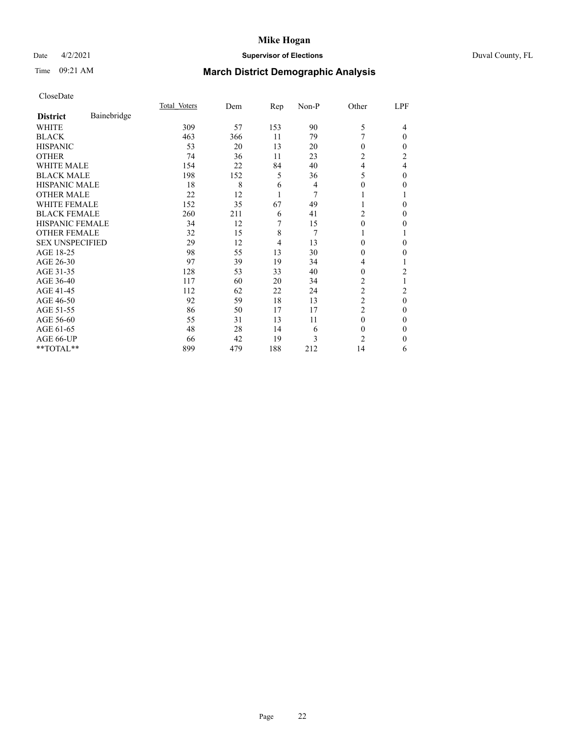## Date 4/2/2021 **Supervisor of Elections** Duval County, FL

# Time 09:21 AM **March District Demographic Analysis**

|                        |             | Total Voters | Dem | Rep            | Non-P | Other          | LPF            |
|------------------------|-------------|--------------|-----|----------------|-------|----------------|----------------|
| <b>District</b>        | Bainebridge |              |     |                |       |                |                |
| WHITE                  |             | 309          | 57  | 153            | 90    | 5              | 4              |
| <b>BLACK</b>           |             | 463          | 366 | 11             | 79    | 7              | 0              |
| <b>HISPANIC</b>        |             | 53           | 20  | 13             | 20    | 0              | 0              |
| <b>OTHER</b>           |             | 74           | 36  | 11             | 23    | 2              | 2              |
| <b>WHITE MALE</b>      |             | 154          | 22  | 84             | 40    | $\overline{4}$ | 4              |
| <b>BLACK MALE</b>      |             | 198          | 152 | 5              | 36    | 5              | 0              |
| <b>HISPANIC MALE</b>   |             | 18           | 8   | 6              | 4     | $\theta$       | 0              |
| <b>OTHER MALE</b>      |             | 22           | 12  | 1              | 7     |                |                |
| <b>WHITE FEMALE</b>    |             | 152          | 35  | 67             | 49    | 1              | 0              |
| <b>BLACK FEMALE</b>    |             | 260          | 211 | 6              | 41    | 2              | 0              |
| <b>HISPANIC FEMALE</b> |             | 34           | 12  | 7              | 15    | $\theta$       | 0              |
| <b>OTHER FEMALE</b>    |             | 32           | 15  | 8              | 7     | 1              |                |
| <b>SEX UNSPECIFIED</b> |             | 29           | 12  | $\overline{4}$ | 13    | $\Omega$       | 0              |
| AGE 18-25              |             | 98           | 55  | 13             | 30    | $\theta$       | 0              |
| AGE 26-30              |             | 97           | 39  | 19             | 34    | 4              |                |
| AGE 31-35              |             | 128          | 53  | 33             | 40    | $\theta$       | $\overline{c}$ |
| AGE 36-40              |             | 117          | 60  | 20             | 34    | 2              |                |
| AGE 41-45              |             | 112          | 62  | 22             | 24    | 2              | 2              |
| AGE 46-50              |             | 92           | 59  | 18             | 13    | $\overline{c}$ | 0              |
| AGE 51-55              |             | 86           | 50  | 17             | 17    | $\overline{c}$ | 0              |
| AGE 56-60              |             | 55           | 31  | 13             | 11    | $\theta$       | 0              |
| AGE 61-65              |             | 48           | 28  | 14             | 6     | $\theta$       | 0              |
| AGE 66-UP              |             | 66           | 42  | 19             | 3     | $\overline{c}$ | 0              |
| **TOTAL**              |             | 899          | 479 | 188            | 212   | 14             | 6              |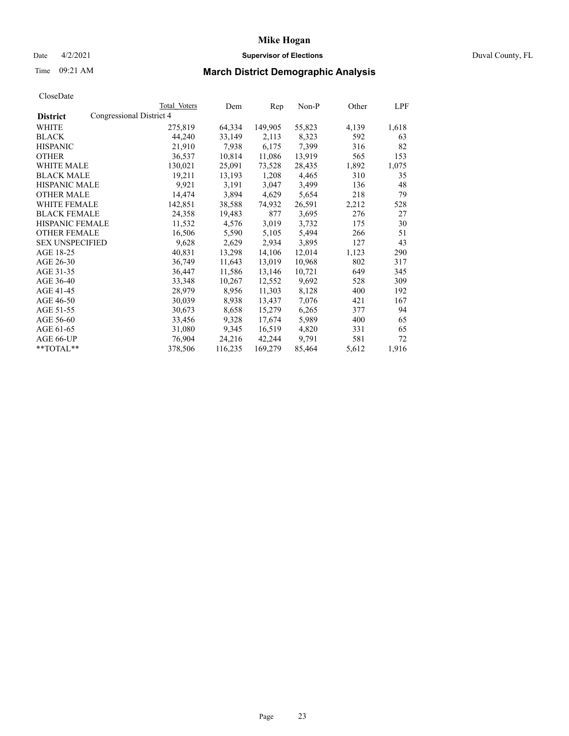### Date 4/2/2021 **Supervisor of Elections** Duval County, FL

# Time 09:21 AM **March District Demographic Analysis**

|                        |                          | Total Voters | Dem     | Rep     | $Non-P$ | Other | LPF   |
|------------------------|--------------------------|--------------|---------|---------|---------|-------|-------|
| <b>District</b>        | Congressional District 4 |              |         |         |         |       |       |
| WHITE                  |                          | 275,819      | 64,334  | 149,905 | 55,823  | 4,139 | 1,618 |
| <b>BLACK</b>           |                          | 44,240       | 33,149  | 2,113   | 8,323   | 592   | 63    |
| <b>HISPANIC</b>        |                          | 21,910       | 7,938   | 6,175   | 7.399   | 316   | 82    |
| <b>OTHER</b>           |                          | 36,537       | 10,814  | 11,086  | 13,919  | 565   | 153   |
| WHITE MALE             |                          | 130,021      | 25,091  | 73,528  | 28,435  | 1,892 | 1,075 |
| <b>BLACK MALE</b>      |                          | 19,211       | 13,193  | 1,208   | 4,465   | 310   | 35    |
| <b>HISPANIC MALE</b>   |                          | 9,921        | 3,191   | 3,047   | 3,499   | 136   | 48    |
| <b>OTHER MALE</b>      |                          | 14,474       | 3,894   | 4,629   | 5,654   | 218   | 79    |
| <b>WHITE FEMALE</b>    |                          | 142,851      | 38,588  | 74,932  | 26,591  | 2,212 | 528   |
| <b>BLACK FEMALE</b>    |                          | 24,358       | 19,483  | 877     | 3,695   | 276   | 27    |
| HISPANIC FEMALE        |                          | 11,532       | 4,576   | 3,019   | 3,732   | 175   | 30    |
| <b>OTHER FEMALE</b>    |                          | 16,506       | 5,590   | 5,105   | 5,494   | 266   | 51    |
| <b>SEX UNSPECIFIED</b> |                          | 9,628        | 2,629   | 2,934   | 3,895   | 127   | 43    |
| AGE 18-25              |                          | 40,831       | 13,298  | 14,106  | 12,014  | 1,123 | 290   |
| AGE 26-30              |                          | 36,749       | 11,643  | 13,019  | 10,968  | 802   | 317   |
| AGE 31-35              |                          | 36,447       | 11,586  | 13,146  | 10,721  | 649   | 345   |
| AGE 36-40              |                          | 33,348       | 10,267  | 12,552  | 9,692   | 528   | 309   |
| AGE 41-45              |                          | 28,979       | 8,956   | 11,303  | 8,128   | 400   | 192   |
| AGE 46-50              |                          | 30,039       | 8,938   | 13,437  | 7,076   | 421   | 167   |
| AGE 51-55              |                          | 30,673       | 8,658   | 15,279  | 6,265   | 377   | 94    |
| AGE 56-60              |                          | 33,456       | 9,328   | 17,674  | 5,989   | 400   | 65    |
| AGE 61-65              |                          | 31,080       | 9,345   | 16,519  | 4,820   | 331   | 65    |
| AGE 66-UP              |                          | 76,904       | 24,216  | 42,244  | 9,791   | 581   | 72    |
| $*$ $TOTAL**$          |                          | 378,506      | 116,235 | 169,279 | 85,464  | 5,612 | 1,916 |
|                        |                          |              |         |         |         |       |       |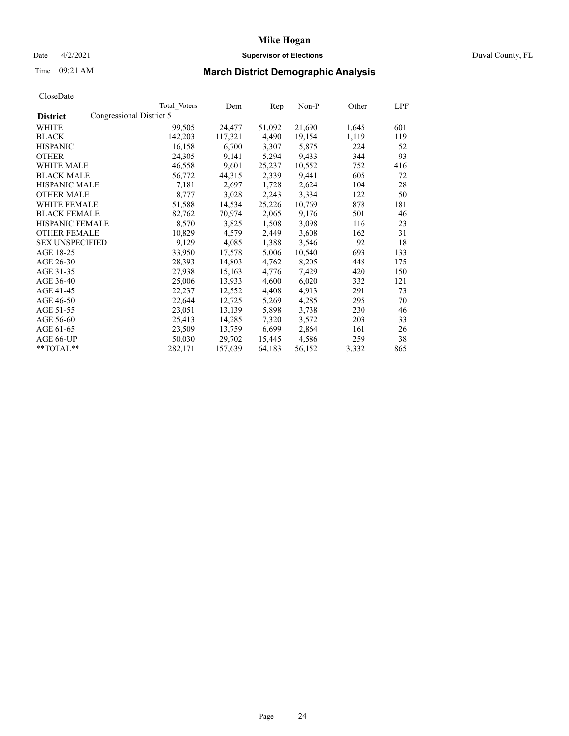## Date 4/2/2021 **Supervisor of Elections** Duval County, FL

# Time 09:21 AM **March District Demographic Analysis**

|                        |                          | Total Voters | Dem     | Rep    | $Non-P$ | Other | LPF |
|------------------------|--------------------------|--------------|---------|--------|---------|-------|-----|
| <b>District</b>        | Congressional District 5 |              |         |        |         |       |     |
| WHITE                  |                          | 99,505       | 24,477  | 51,092 | 21,690  | 1,645 | 601 |
| <b>BLACK</b>           |                          | 142,203      | 117,321 | 4,490  | 19,154  | 1,119 | 119 |
| <b>HISPANIC</b>        |                          | 16,158       | 6,700   | 3,307  | 5,875   | 224   | 52  |
| <b>OTHER</b>           |                          | 24,305       | 9,141   | 5,294  | 9,433   | 344   | 93  |
| <b>WHITE MALE</b>      |                          | 46,558       | 9,601   | 25,237 | 10,552  | 752   | 416 |
| <b>BLACK MALE</b>      |                          | 56,772       | 44,315  | 2,339  | 9,441   | 605   | 72  |
| <b>HISPANIC MALE</b>   |                          | 7,181        | 2,697   | 1,728  | 2,624   | 104   | 28  |
| <b>OTHER MALE</b>      |                          | 8,777        | 3,028   | 2,243  | 3,334   | 122   | 50  |
| <b>WHITE FEMALE</b>    |                          | 51,588       | 14,534  | 25,226 | 10,769  | 878   | 181 |
| <b>BLACK FEMALE</b>    |                          | 82,762       | 70,974  | 2,065  | 9,176   | 501   | 46  |
| HISPANIC FEMALE        |                          | 8,570        | 3,825   | 1,508  | 3,098   | 116   | 23  |
| <b>OTHER FEMALE</b>    |                          | 10,829       | 4,579   | 2,449  | 3,608   | 162   | 31  |
| <b>SEX UNSPECIFIED</b> |                          | 9,129        | 4,085   | 1,388  | 3,546   | 92    | 18  |
| AGE 18-25              |                          | 33,950       | 17,578  | 5,006  | 10,540  | 693   | 133 |
| AGE 26-30              |                          | 28,393       | 14,803  | 4,762  | 8,205   | 448   | 175 |
| AGE 31-35              |                          | 27,938       | 15,163  | 4,776  | 7,429   | 420   | 150 |
| AGE 36-40              |                          | 25,006       | 13,933  | 4,600  | 6,020   | 332   | 121 |
| AGE 41-45              |                          | 22,237       | 12,552  | 4,408  | 4,913   | 291   | 73  |
| AGE 46-50              |                          | 22,644       | 12,725  | 5,269  | 4,285   | 295   | 70  |
| AGE 51-55              |                          | 23,051       | 13,139  | 5,898  | 3,738   | 230   | 46  |
| AGE 56-60              |                          | 25,413       | 14,285  | 7,320  | 3,572   | 203   | 33  |
| AGE 61-65              |                          | 23,509       | 13,759  | 6,699  | 2,864   | 161   | 26  |
| AGE 66-UP              |                          | 50,030       | 29,702  | 15,445 | 4,586   | 259   | 38  |
| **TOTAL**              |                          | 282,171      | 157,639 | 64,183 | 56,152  | 3,332 | 865 |
|                        |                          |              |         |        |         |       |     |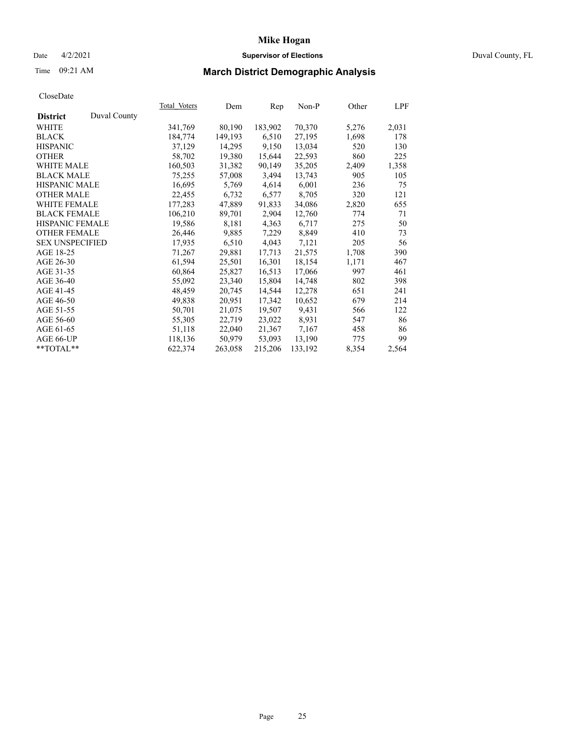## Date 4/2/2021 **Supervisor of Elections** Duval County, FL

# Time 09:21 AM **March District Demographic Analysis**

|                                 | Total Voters | Dem     | Rep     | $Non-P$ | Other | LPF   |
|---------------------------------|--------------|---------|---------|---------|-------|-------|
| Duval County<br><b>District</b> |              |         |         |         |       |       |
| WHITE                           | 341,769      | 80,190  | 183,902 | 70,370  | 5,276 | 2,031 |
| <b>BLACK</b>                    | 184,774      | 149,193 | 6,510   | 27,195  | 1,698 | 178   |
| <b>HISPANIC</b>                 | 37,129       | 14,295  | 9,150   | 13,034  | 520   | 130   |
| <b>OTHER</b>                    | 58,702       | 19,380  | 15,644  | 22,593  | 860   | 225   |
| <b>WHITE MALE</b>               | 160,503      | 31,382  | 90,149  | 35,205  | 2,409 | 1,358 |
| <b>BLACK MALE</b>               | 75,255       | 57,008  | 3,494   | 13,743  | 905   | 105   |
| <b>HISPANIC MALE</b>            | 16,695       | 5,769   | 4,614   | 6,001   | 236   | 75    |
| <b>OTHER MALE</b>               | 22,455       | 6,732   | 6,577   | 8,705   | 320   | 121   |
| <b>WHITE FEMALE</b>             | 177,283      | 47,889  | 91,833  | 34,086  | 2,820 | 655   |
| <b>BLACK FEMALE</b>             | 106,210      | 89,701  | 2,904   | 12,760  | 774   | 71    |
| HISPANIC FEMALE                 | 19,586       | 8,181   | 4,363   | 6,717   | 275   | 50    |
| <b>OTHER FEMALE</b>             | 26,446       | 9,885   | 7,229   | 8,849   | 410   | 73    |
| <b>SEX UNSPECIFIED</b>          | 17,935       | 6,510   | 4,043   | 7,121   | 205   | 56    |
| AGE 18-25                       | 71,267       | 29,881  | 17,713  | 21,575  | 1,708 | 390   |
| AGE 26-30                       | 61,594       | 25,501  | 16,301  | 18,154  | 1,171 | 467   |
| AGE 31-35                       | 60,864       | 25,827  | 16,513  | 17,066  | 997   | 461   |
| AGE 36-40                       | 55,092       | 23,340  | 15,804  | 14,748  | 802   | 398   |
| AGE 41-45                       | 48,459       | 20,745  | 14,544  | 12,278  | 651   | 241   |
| AGE 46-50                       | 49,838       | 20,951  | 17,342  | 10,652  | 679   | 214   |
| AGE 51-55                       | 50,701       | 21,075  | 19,507  | 9,431   | 566   | 122   |
| AGE 56-60                       | 55,305       | 22,719  | 23,022  | 8,931   | 547   | 86    |
| AGE 61-65                       | 51,118       | 22,040  | 21,367  | 7,167   | 458   | 86    |
| AGE 66-UP                       | 118,136      | 50,979  | 53,093  | 13,190  | 775   | 99    |
| **TOTAL**                       | 622,374      | 263,058 | 215,206 | 133,192 | 8,354 | 2,564 |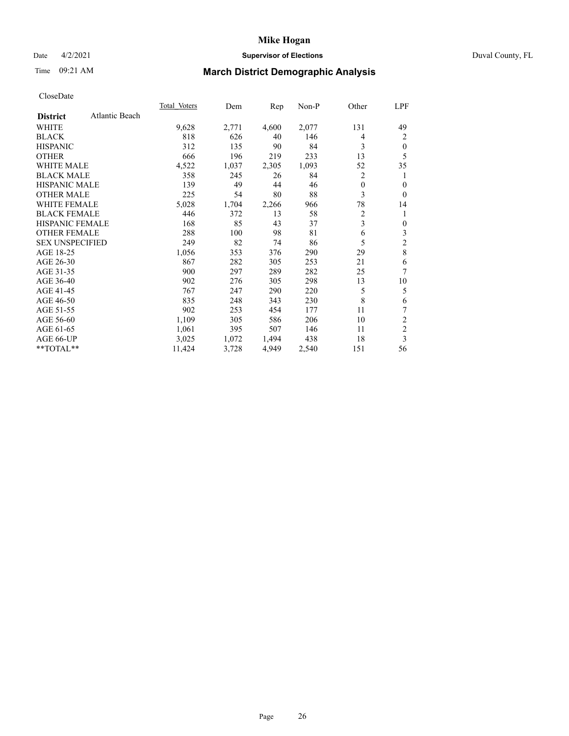## Date 4/2/2021 **Supervisor of Elections** Duval County, FL

# Time 09:21 AM **March District Demographic Analysis**

| <b>Total Voters</b> | Dem   | Rep   | $Non-P$ | Other          | LPF            |
|---------------------|-------|-------|---------|----------------|----------------|
|                     |       |       |         |                |                |
| 9,628               | 2,771 | 4,600 | 2,077   | 131            | 49             |
| 818                 | 626   | 40    | 146     | 4              | 2              |
| 312                 | 135   | 90    | 84      | 3              | $\theta$       |
| 666                 | 196   | 219   | 233     | 13             | 5              |
| 4,522               | 1,037 | 2,305 | 1,093   | 52             | 35             |
| 358                 | 245   | 26    | 84      | 2              | 1              |
| 139                 | 49    | 44    | 46      | $\theta$       | $\theta$       |
| 225                 | 54    | 80    | 88      | 3              | $\theta$       |
| 5,028               | 1,704 | 2,266 | 966     | 78             | 14             |
| 446                 | 372   | 13    | 58      | $\overline{c}$ | 1              |
| 168                 | 85    | 43    | 37      |                | $\mathbf{0}$   |
| 288                 | 100   | 98    | 81      | 6              | 3              |
| 249                 | 82    | 74    | 86      | 5              | $\overline{2}$ |
| 1,056               | 353   | 376   | 290     | 29             | $\,8\,$        |
| 867                 | 282   | 305   | 253     | 21             | 6              |
| 900                 | 297   | 289   | 282     | 25             | 7              |
| 902                 | 276   | 305   | 298     | 13             | 10             |
| 767                 | 247   | 290   | 220     | 5              | 5              |
| 835                 | 248   | 343   | 230     |                | 6              |
| 902                 | 253   | 454   | 177     | 11             | 7              |
| 1,109               | 305   | 586   | 206     | 10             | 2              |
| 1,061               | 395   | 507   | 146     | 11             | $\mathfrak{2}$ |
| 3,025               | 1,072 | 1,494 | 438     | 18             | 3              |
| 11,424              | 3,728 | 4,949 | 2,540   | 151            | 56             |
|                     |       |       |         |                | 3<br>8         |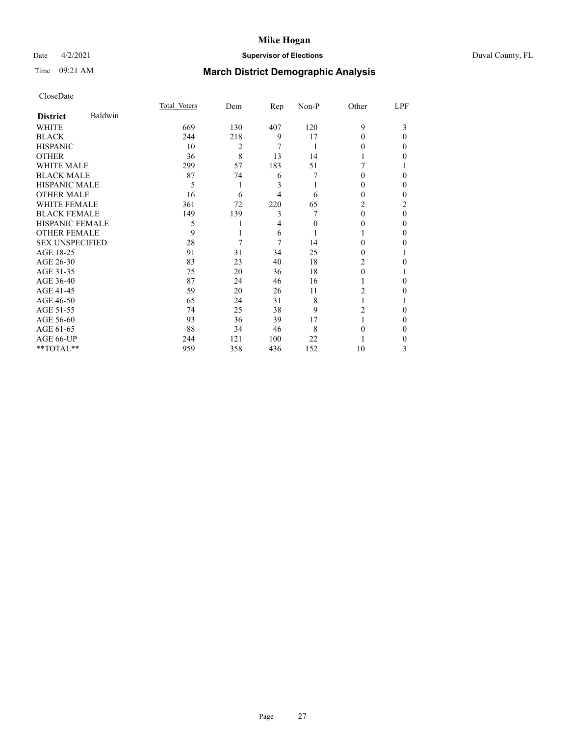## Date 4/2/2021 **Supervisor of Elections** Duval County, FL

# Time 09:21 AM **March District Demographic Analysis**

|                        |         | Total Voters | Dem | Rep | Non-P | Other          | LPF |
|------------------------|---------|--------------|-----|-----|-------|----------------|-----|
| <b>District</b>        | Baldwin |              |     |     |       |                |     |
| WHITE                  |         | 669          | 130 | 407 | 120   | 9              | 3   |
| <b>BLACK</b>           |         | 244          | 218 | 9   | 17    | 0              | 0   |
| <b>HISPANIC</b>        |         | 10           | 2   | 7   |       | 0              | 0   |
| <b>OTHER</b>           |         | 36           | 8   | 13  | 14    |                | 0   |
| <b>WHITE MALE</b>      |         | 299          | 57  | 183 | 51    |                |     |
| <b>BLACK MALE</b>      |         | 87           | 74  | 6   |       | $_{0}$         | 0   |
| <b>HISPANIC MALE</b>   |         | 5            |     | 3   |       | 0              | 0   |
| <b>OTHER MALE</b>      |         | 16           | 6   | 4   | 6     | 0              | 0   |
| <b>WHITE FEMALE</b>    |         | 361          | 72  | 220 | 65    | 2              | 2   |
| <b>BLACK FEMALE</b>    |         | 149          | 139 | 3   |       | 0              | 0   |
| <b>HISPANIC FEMALE</b> |         | 5            |     | 4   | 0     | 0              | 0   |
| <b>OTHER FEMALE</b>    |         | 9            |     | 6   |       |                | 0   |
| <b>SEX UNSPECIFIED</b> |         | 28           | 7   | 7   | 14    | 0              | 0   |
| AGE 18-25              |         | 91           | 31  | 34  | 25    | 0              |     |
| AGE 26-30              |         | 83           | 23  | 40  | 18    | 2              | 0   |
| AGE 31-35              |         | 75           | 20  | 36  | 18    | 0              |     |
| AGE 36-40              |         | 87           | 24  | 46  | 16    |                | 0   |
| AGE 41-45              |         | 59           | 20  | 26  | 11    | $\overline{c}$ | 0   |
| AGE 46-50              |         | 65           | 24  | 31  | 8     |                |     |
| AGE 51-55              |         | 74           | 25  | 38  | 9     | 2              | 0   |
| AGE 56-60              |         | 93           | 36  | 39  | 17    |                | 0   |
| AGE 61-65              |         | 88           | 34  | 46  | 8     | 0              | 0   |
| AGE 66-UP              |         | 244          | 121 | 100 | 22    |                | 0   |
| **TOTAL**              |         | 959          | 358 | 436 | 152   | 10             | 3   |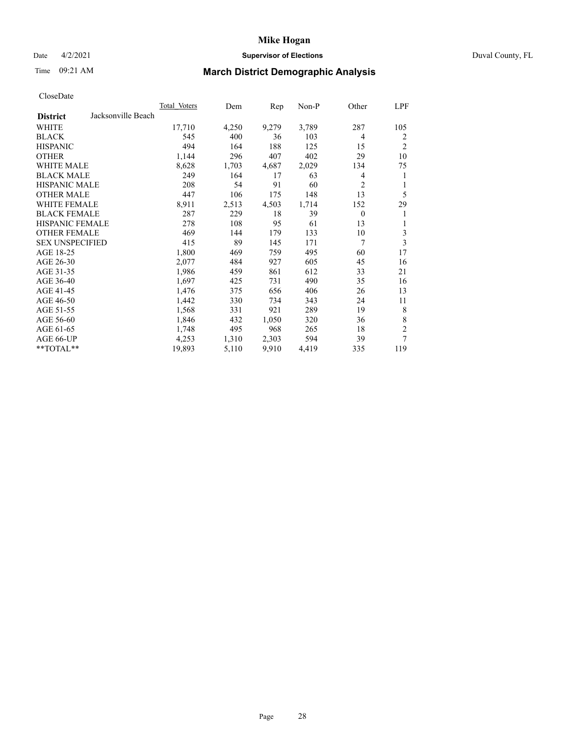## Date 4/2/2021 **Supervisor of Elections** Duval County, FL

# Time 09:21 AM **March District Demographic Analysis**

|                                       | Total Voters | Dem   | Rep   | Non-P | Other          | LPF            |
|---------------------------------------|--------------|-------|-------|-------|----------------|----------------|
| Jacksonville Beach<br><b>District</b> |              |       |       |       |                |                |
| WHITE                                 | 17,710       | 4,250 | 9,279 | 3,789 | 287            | 105            |
| <b>BLACK</b>                          | 545          | 400   | 36    | 103   | $\overline{4}$ | 2              |
| <b>HISPANIC</b>                       | 494          | 164   | 188   | 125   | 15             | $\overline{2}$ |
| <b>OTHER</b>                          | 1,144        | 296   | 407   | 402   | 29             | 10             |
| <b>WHITE MALE</b>                     | 8,628        | 1,703 | 4,687 | 2,029 | 134            | 75             |
| <b>BLACK MALE</b>                     | 249          | 164   | 17    | 63    | 4              | 1              |
| <b>HISPANIC MALE</b>                  | 208          | 54    | 91    | 60    | $\overline{2}$ | 1              |
| <b>OTHER MALE</b>                     | 447          | 106   | 175   | 148   | 13             | 5              |
| WHITE FEMALE                          | 8,911        | 2,513 | 4,503 | 1,714 | 152            | 29             |
| <b>BLACK FEMALE</b>                   | 287          | 229   | 18    | 39    | $\theta$       | 1              |
| <b>HISPANIC FEMALE</b>                | 278          | 108   | 95    | 61    | 13             | 1              |
| <b>OTHER FEMALE</b>                   | 469          | 144   | 179   | 133   | 10             | 3              |
| <b>SEX UNSPECIFIED</b>                | 415          | 89    | 145   | 171   | 7              | 3              |
| AGE 18-25                             | 1,800        | 469   | 759   | 495   | 60             | 17             |
| AGE 26-30                             | 2,077        | 484   | 927   | 605   | 45             | 16             |
| AGE 31-35                             | 1,986        | 459   | 861   | 612   | 33             | 21             |
| AGE 36-40                             | 1,697        | 425   | 731   | 490   | 35             | 16             |
| AGE 41-45                             | 1,476        | 375   | 656   | 406   | 26             | 13             |
| AGE 46-50                             | 1,442        | 330   | 734   | 343   | 24             | 11             |
| AGE 51-55                             | 1,568        | 331   | 921   | 289   | 19             | 8              |
| AGE 56-60                             | 1,846        | 432   | 1,050 | 320   | 36             | 8              |
| AGE 61-65                             | 1,748        | 495   | 968   | 265   | 18             | $\overline{c}$ |
| AGE 66-UP                             | 4,253        | 1,310 | 2,303 | 594   | 39             | 7              |
| **TOTAL**                             | 19,893       | 5,110 | 9,910 | 4,419 | 335            | 119            |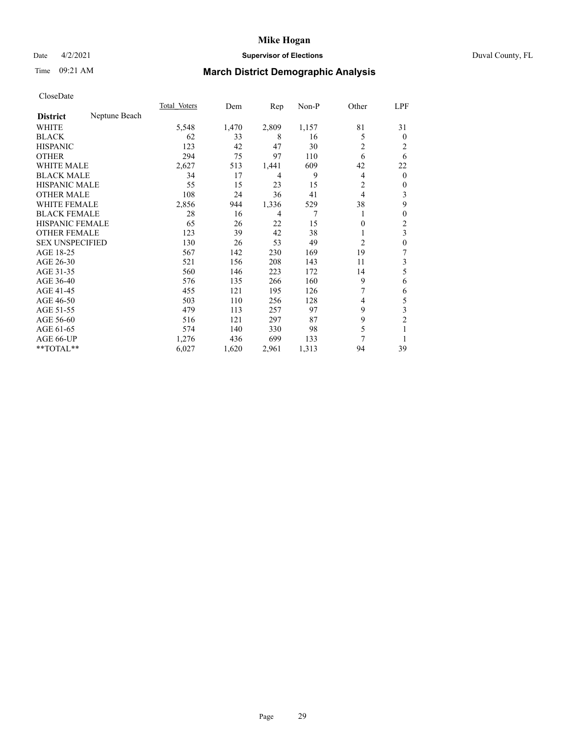## Date 4/2/2021 **Supervisor of Elections** Duval County, FL

# Time 09:21 AM **March District Demographic Analysis**

|                        |               | Total Voters | Dem   | Rep   | Non-P | Other          | LPF            |
|------------------------|---------------|--------------|-------|-------|-------|----------------|----------------|
| <b>District</b>        | Neptune Beach |              |       |       |       |                |                |
| WHITE                  |               | 5,548        | 1,470 | 2,809 | 1,157 | 81             | 31             |
| <b>BLACK</b>           |               | 62           | 33    | 8     | 16    | 5              | $\mathbf{0}$   |
| <b>HISPANIC</b>        |               | 123          | 42    | 47    | 30    | 2              | 2              |
| <b>OTHER</b>           |               | 294          | 75    | 97    | 110   | 6              | 6              |
| WHITE MALE             |               | 2,627        | 513   | 1,441 | 609   | 42             | 22             |
| <b>BLACK MALE</b>      |               | 34           | 17    | 4     | 9     | 4              | $\mathbf{0}$   |
| <b>HISPANIC MALE</b>   |               | 55           | 15    | 23    | 15    | 2              | 0              |
| <b>OTHER MALE</b>      |               | 108          | 24    | 36    | 41    | 4              | 3              |
| WHITE FEMALE           |               | 2,856        | 944   | 1,336 | 529   | 38             | 9              |
| <b>BLACK FEMALE</b>    |               | 28           | 16    | 4     | 7     |                | 0              |
| <b>HISPANIC FEMALE</b> |               | 65           | 26    | 22    | 15    | 0              | $\overline{2}$ |
| <b>OTHER FEMALE</b>    |               | 123          | 39    | 42    | 38    |                | 3              |
| <b>SEX UNSPECIFIED</b> |               | 130          | 26    | 53    | 49    | $\overline{2}$ | $\mathbf{0}$   |
| AGE 18-25              |               | 567          | 142   | 230   | 169   | 19             | 7              |
| AGE 26-30              |               | 521          | 156   | 208   | 143   | 11             | 3              |
| AGE 31-35              |               | 560          | 146   | 223   | 172   | 14             | 5              |
| AGE 36-40              |               | 576          | 135   | 266   | 160   | 9              | 6              |
| AGE 41-45              |               | 455          | 121   | 195   | 126   |                | 6              |
| AGE 46-50              |               | 503          | 110   | 256   | 128   | 4              | 5              |
| AGE 51-55              |               | 479          | 113   | 257   | 97    | 9              | 3              |
| AGE 56-60              |               | 516          | 121   | 297   | 87    | 9              | $\overline{2}$ |
| AGE 61-65              |               | 574          | 140   | 330   | 98    | 5              | 1              |
| AGE 66-UP              |               | 1,276        | 436   | 699   | 133   | 7              |                |
| **TOTAL**              |               | 6,027        | 1,620 | 2,961 | 1,313 | 94             | 39             |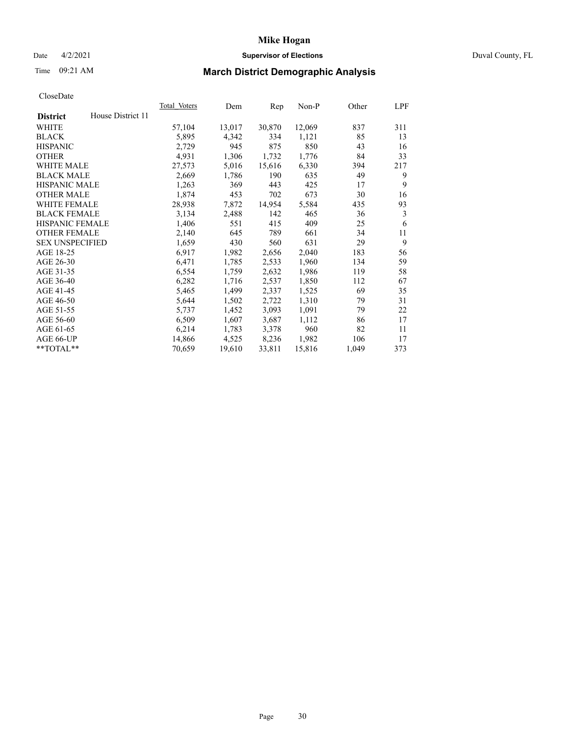## Date 4/2/2021 **Supervisor of Elections** Duval County, FL

# Time 09:21 AM **March District Demographic Analysis**

|                        |                   | Total Voters | Dem    | Rep    | Non-P  | Other | LPF |
|------------------------|-------------------|--------------|--------|--------|--------|-------|-----|
| <b>District</b>        | House District 11 |              |        |        |        |       |     |
| WHITE                  |                   | 57,104       | 13,017 | 30,870 | 12,069 | 837   | 311 |
| <b>BLACK</b>           |                   | 5,895        | 4,342  | 334    | 1,121  | 85    | 13  |
| <b>HISPANIC</b>        |                   | 2,729        | 945    | 875    | 850    | 43    | 16  |
| <b>OTHER</b>           |                   | 4,931        | 1,306  | 1,732  | 1,776  | 84    | 33  |
| <b>WHITE MALE</b>      |                   | 27,573       | 5,016  | 15,616 | 6,330  | 394   | 217 |
| <b>BLACK MALE</b>      |                   | 2,669        | 1,786  | 190    | 635    | 49    | 9   |
| <b>HISPANIC MALE</b>   |                   | 1,263        | 369    | 443    | 425    | 17    | 9   |
| <b>OTHER MALE</b>      |                   | 1,874        | 453    | 702    | 673    | 30    | 16  |
| <b>WHITE FEMALE</b>    |                   | 28,938       | 7,872  | 14,954 | 5,584  | 435   | 93  |
| <b>BLACK FEMALE</b>    |                   | 3,134        | 2,488  | 142    | 465    | 36    | 3   |
| <b>HISPANIC FEMALE</b> |                   | 1,406        | 551    | 415    | 409    | 25    | 6   |
| <b>OTHER FEMALE</b>    |                   | 2,140        | 645    | 789    | 661    | 34    | 11  |
| <b>SEX UNSPECIFIED</b> |                   | 1,659        | 430    | 560    | 631    | 29    | 9   |
| AGE 18-25              |                   | 6,917        | 1,982  | 2,656  | 2,040  | 183   | 56  |
| AGE 26-30              |                   | 6,471        | 1,785  | 2,533  | 1,960  | 134   | 59  |
| AGE 31-35              |                   | 6,554        | 1,759  | 2,632  | 1,986  | 119   | 58  |
| AGE 36-40              |                   | 6,282        | 1,716  | 2,537  | 1,850  | 112   | 67  |
| AGE 41-45              |                   | 5,465        | 1,499  | 2,337  | 1,525  | 69    | 35  |
| AGE 46-50              |                   | 5,644        | 1,502  | 2,722  | 1,310  | 79    | 31  |
| AGE 51-55              |                   | 5,737        | 1,452  | 3,093  | 1,091  | 79    | 22  |
| AGE 56-60              |                   | 6,509        | 1,607  | 3,687  | 1,112  | 86    | 17  |
| AGE 61-65              |                   | 6,214        | 1,783  | 3,378  | 960    | 82    | 11  |
| AGE 66-UP              |                   | 14,866       | 4,525  | 8,236  | 1,982  | 106   | 17  |
| $*$ TOTAL $*$          |                   | 70,659       | 19,610 | 33,811 | 15,816 | 1,049 | 373 |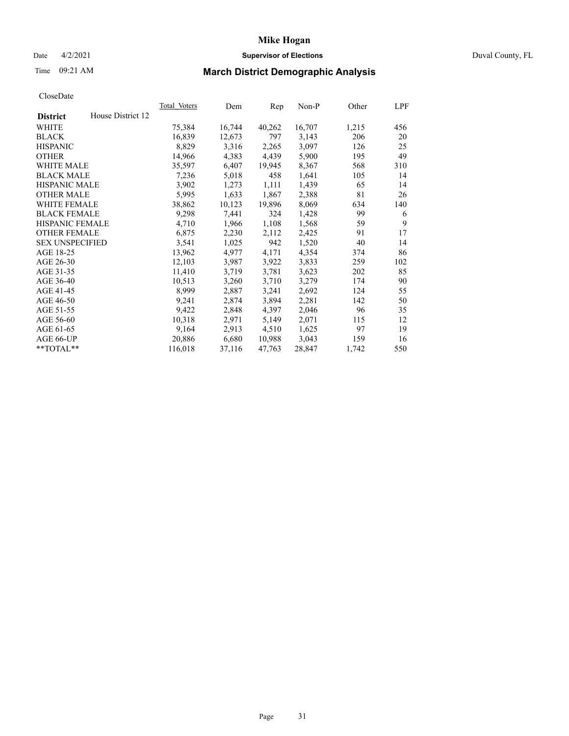## Date 4/2/2021 **Supervisor of Elections** Duval County, FL

# Time 09:21 AM **March District Demographic Analysis**

|                        |                   | Total Voters | Dem    | Rep    | Non-P  | Other | LPF |
|------------------------|-------------------|--------------|--------|--------|--------|-------|-----|
| <b>District</b>        | House District 12 |              |        |        |        |       |     |
| WHITE                  |                   | 75,384       | 16,744 | 40,262 | 16,707 | 1,215 | 456 |
| <b>BLACK</b>           |                   | 16,839       | 12,673 | 797    | 3,143  | 206   | 20  |
| <b>HISPANIC</b>        |                   | 8,829        | 3,316  | 2,265  | 3,097  | 126   | 25  |
| <b>OTHER</b>           |                   | 14,966       | 4,383  | 4,439  | 5,900  | 195   | 49  |
| <b>WHITE MALE</b>      |                   | 35,597       | 6,407  | 19,945 | 8,367  | 568   | 310 |
| <b>BLACK MALE</b>      |                   | 7,236        | 5,018  | 458    | 1,641  | 105   | 14  |
| <b>HISPANIC MALE</b>   |                   | 3,902        | 1,273  | 1,111  | 1,439  | 65    | 14  |
| <b>OTHER MALE</b>      |                   | 5,995        | 1,633  | 1,867  | 2,388  | 81    | 26  |
| <b>WHITE FEMALE</b>    |                   | 38,862       | 10,123 | 19,896 | 8,069  | 634   | 140 |
| <b>BLACK FEMALE</b>    |                   | 9,298        | 7,441  | 324    | 1,428  | 99    | 6   |
| <b>HISPANIC FEMALE</b> |                   | 4,710        | 1,966  | 1,108  | 1,568  | 59    | 9   |
| <b>OTHER FEMALE</b>    |                   | 6,875        | 2,230  | 2,112  | 2,425  | 91    | 17  |
| <b>SEX UNSPECIFIED</b> |                   | 3,541        | 1,025  | 942    | 1,520  | 40    | 14  |
| AGE 18-25              |                   | 13,962       | 4,977  | 4,171  | 4,354  | 374   | 86  |
| AGE 26-30              |                   | 12,103       | 3,987  | 3,922  | 3,833  | 259   | 102 |
| AGE 31-35              |                   | 11,410       | 3,719  | 3,781  | 3,623  | 202   | 85  |
| AGE 36-40              |                   | 10,513       | 3,260  | 3,710  | 3,279  | 174   | 90  |
| AGE 41-45              |                   | 8,999        | 2,887  | 3,241  | 2,692  | 124   | 55  |
| AGE 46-50              |                   | 9,241        | 2,874  | 3,894  | 2,281  | 142   | 50  |
| AGE 51-55              |                   | 9,422        | 2,848  | 4,397  | 2,046  | 96    | 35  |
| AGE 56-60              |                   | 10,318       | 2,971  | 5,149  | 2,071  | 115   | 12  |
| AGE 61-65              |                   | 9,164        | 2,913  | 4,510  | 1,625  | 97    | 19  |
| AGE 66-UP              |                   | 20,886       | 6,680  | 10,988 | 3,043  | 159   | 16  |
| $*$ TOTAL $*$          |                   | 116,018      | 37,116 | 47,763 | 28,847 | 1,742 | 550 |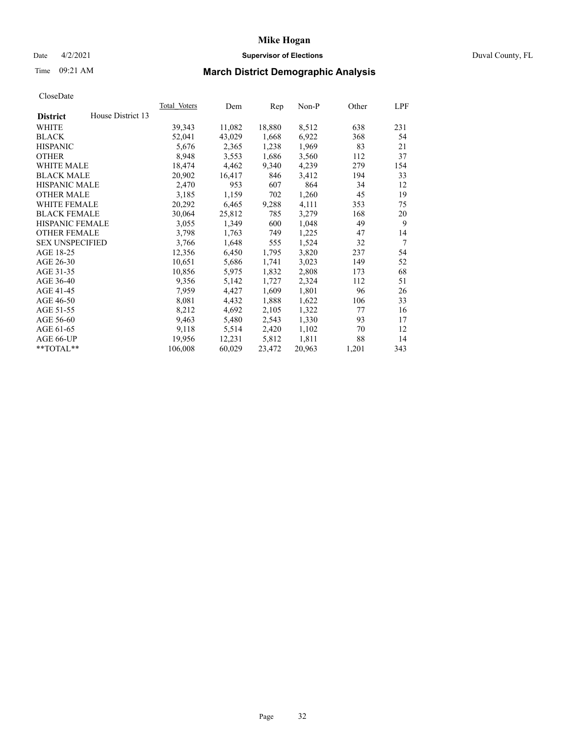## Date 4/2/2021 **Supervisor of Elections** Duval County, FL

# Time 09:21 AM **March District Demographic Analysis**

| Total Voters | Dem    | Rep    | $Non-P$ | Other | LPF |
|--------------|--------|--------|---------|-------|-----|
|              |        |        |         |       |     |
| 39,343       | 11,082 | 18,880 | 8,512   | 638   | 231 |
| 52,041       | 43,029 | 1,668  | 6,922   | 368   | 54  |
| 5,676        | 2,365  | 1,238  | 1,969   | 83    | 21  |
| 8,948        | 3,553  | 1,686  | 3,560   | 112   | 37  |
| 18,474       | 4,462  | 9,340  | 4,239   | 279   | 154 |
| 20,902       | 16,417 | 846    | 3,412   | 194   | 33  |
| 2,470        | 953    | 607    | 864     | 34    | 12  |
| 3,185        | 1,159  | 702    | 1,260   | 45    | 19  |
| 20,292       | 6,465  | 9,288  | 4,111   | 353   | 75  |
| 30,064       | 25,812 | 785    | 3,279   | 168   | 20  |
| 3,055        | 1,349  | 600    | 1,048   | 49    | 9   |
| 3,798        | 1,763  | 749    | 1,225   | 47    | 14  |
| 3,766        | 1,648  | 555    | 1,524   | 32    | 7   |
| 12,356       | 6,450  | 1,795  | 3,820   | 237   | 54  |
| 10,651       | 5,686  | 1,741  | 3,023   | 149   | 52  |
| 10,856       | 5,975  | 1,832  | 2,808   | 173   | 68  |
| 9,356        | 5,142  | 1,727  | 2,324   | 112   | 51  |
| 7,959        | 4,427  | 1,609  | 1,801   | 96    | 26  |
| 8,081        | 4,432  | 1,888  | 1,622   | 106   | 33  |
| 8,212        | 4,692  | 2,105  | 1,322   | 77    | 16  |
| 9,463        | 5,480  | 2,543  | 1,330   | 93    | 17  |
| 9,118        | 5,514  | 2,420  | 1,102   | 70    | 12  |
| 19,956       | 12,231 | 5,812  | 1,811   | 88    | 14  |
| 106,008      | 60,029 | 23,472 | 20,963  | 1,201 | 343 |
|              |        |        |         |       |     |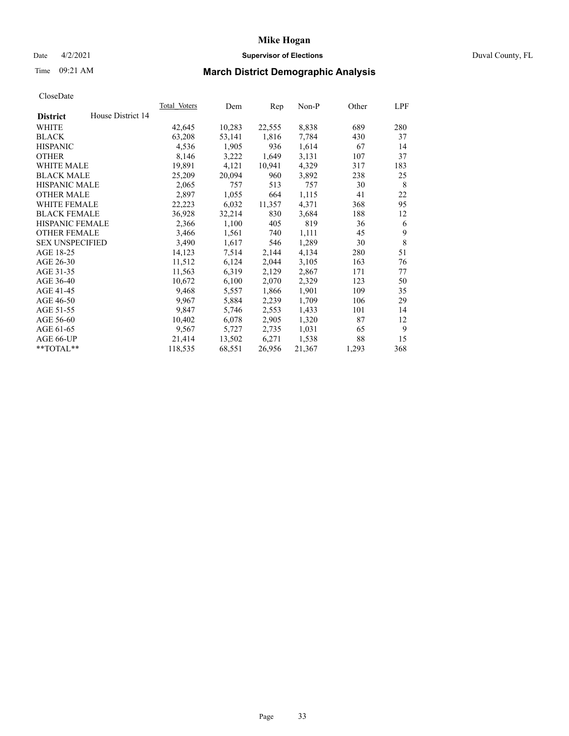### Date 4/2/2021 **Supervisor of Elections** Duval County, FL

# Time 09:21 AM **March District Demographic Analysis**

| Total Voters | Dem    | Rep    | $Non-P$ | Other | LPF |
|--------------|--------|--------|---------|-------|-----|
|              |        |        |         |       |     |
| 42,645       | 10,283 | 22,555 | 8,838   | 689   | 280 |
| 63,208       | 53,141 | 1,816  | 7,784   | 430   | 37  |
| 4,536        | 1,905  | 936    | 1,614   | 67    | 14  |
| 8,146        | 3,222  | 1,649  | 3,131   | 107   | 37  |
| 19,891       | 4,121  | 10,941 | 4,329   | 317   | 183 |
| 25,209       | 20,094 | 960    | 3,892   | 238   | 25  |
| 2,065        | 757    | 513    | 757     | 30    | 8   |
| 2,897        | 1,055  | 664    | 1,115   | 41    | 22  |
| 22,223       | 6,032  | 11,357 | 4,371   | 368   | 95  |
| 36,928       | 32,214 | 830    | 3,684   | 188   | 12  |
| 2,366        | 1,100  | 405    | 819     | 36    | 6   |
| 3,466        | 1,561  | 740    | 1,111   | 45    | 9   |
| 3,490        | 1,617  | 546    | 1,289   | 30    | 8   |
| 14,123       | 7,514  | 2,144  | 4,134   | 280   | 51  |
| 11,512       | 6,124  | 2,044  | 3,105   | 163   | 76  |
| 11,563       | 6,319  | 2,129  | 2,867   | 171   | 77  |
| 10,672       | 6,100  | 2,070  | 2,329   | 123   | 50  |
| 9,468        | 5,557  | 1,866  | 1,901   | 109   | 35  |
| 9,967        | 5,884  | 2,239  | 1,709   | 106   | 29  |
| 9,847        | 5,746  | 2,553  | 1,433   | 101   | 14  |
| 10,402       | 6,078  | 2,905  | 1,320   | 87    | 12  |
| 9,567        | 5,727  | 2,735  | 1,031   | 65    | 9   |
| 21,414       | 13,502 | 6,271  | 1,538   | 88    | 15  |
| 118,535      | 68,551 | 26,956 | 21,367  | 1,293 | 368 |
|              |        |        |         |       |     |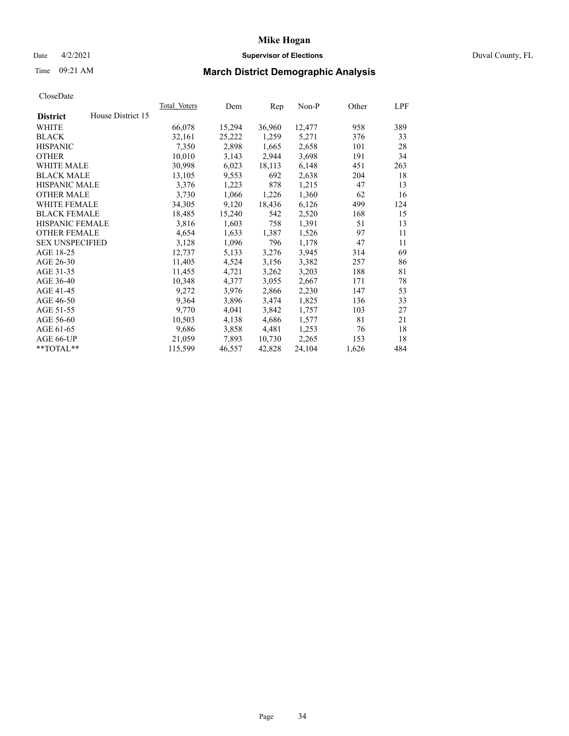## Date 4/2/2021 **Supervisor of Elections** Duval County, FL

# Time 09:21 AM **March District Demographic Analysis**

|                        |                   | Total Voters | Dem    | Rep    | Non-P  | Other | LPF |
|------------------------|-------------------|--------------|--------|--------|--------|-------|-----|
| <b>District</b>        | House District 15 |              |        |        |        |       |     |
| WHITE                  |                   | 66,078       | 15,294 | 36,960 | 12,477 | 958   | 389 |
| <b>BLACK</b>           |                   | 32,161       | 25,222 | 1,259  | 5,271  | 376   | 33  |
| <b>HISPANIC</b>        |                   | 7,350        | 2,898  | 1,665  | 2,658  | 101   | 28  |
| <b>OTHER</b>           |                   | 10,010       | 3,143  | 2,944  | 3,698  | 191   | 34  |
| <b>WHITE MALE</b>      |                   | 30,998       | 6,023  | 18,113 | 6,148  | 451   | 263 |
| <b>BLACK MALE</b>      |                   | 13,105       | 9,553  | 692    | 2,638  | 204   | 18  |
| <b>HISPANIC MALE</b>   |                   | 3,376        | 1,223  | 878    | 1,215  | 47    | 13  |
| <b>OTHER MALE</b>      |                   | 3,730        | 1,066  | 1,226  | 1,360  | 62    | 16  |
| <b>WHITE FEMALE</b>    |                   | 34,305       | 9,120  | 18,436 | 6,126  | 499   | 124 |
| <b>BLACK FEMALE</b>    |                   | 18,485       | 15,240 | 542    | 2,520  | 168   | 15  |
| <b>HISPANIC FEMALE</b> |                   | 3,816        | 1,603  | 758    | 1,391  | 51    | 13  |
| <b>OTHER FEMALE</b>    |                   | 4,654        | 1,633  | 1,387  | 1,526  | 97    | 11  |
| <b>SEX UNSPECIFIED</b> |                   | 3,128        | 1,096  | 796    | 1,178  | 47    | 11  |
| AGE 18-25              |                   | 12,737       | 5,133  | 3,276  | 3,945  | 314   | 69  |
| AGE 26-30              |                   | 11,405       | 4,524  | 3,156  | 3,382  | 257   | 86  |
| AGE 31-35              |                   | 11,455       | 4,721  | 3,262  | 3,203  | 188   | 81  |
| AGE 36-40              |                   | 10,348       | 4,377  | 3,055  | 2,667  | 171   | 78  |
| AGE 41-45              |                   | 9,272        | 3,976  | 2,866  | 2,230  | 147   | 53  |
| AGE 46-50              |                   | 9,364        | 3,896  | 3,474  | 1,825  | 136   | 33  |
| AGE 51-55              |                   | 9,770        | 4,041  | 3,842  | 1,757  | 103   | 27  |
| AGE 56-60              |                   | 10,503       | 4,138  | 4,686  | 1,577  | 81    | 21  |
| AGE 61-65              |                   | 9,686        | 3,858  | 4,481  | 1,253  | 76    | 18  |
| AGE 66-UP              |                   | 21,059       | 7,893  | 10,730 | 2,265  | 153   | 18  |
| $*$ TOTAL $*$          |                   | 115,599      | 46,557 | 42,828 | 24,104 | 1,626 | 484 |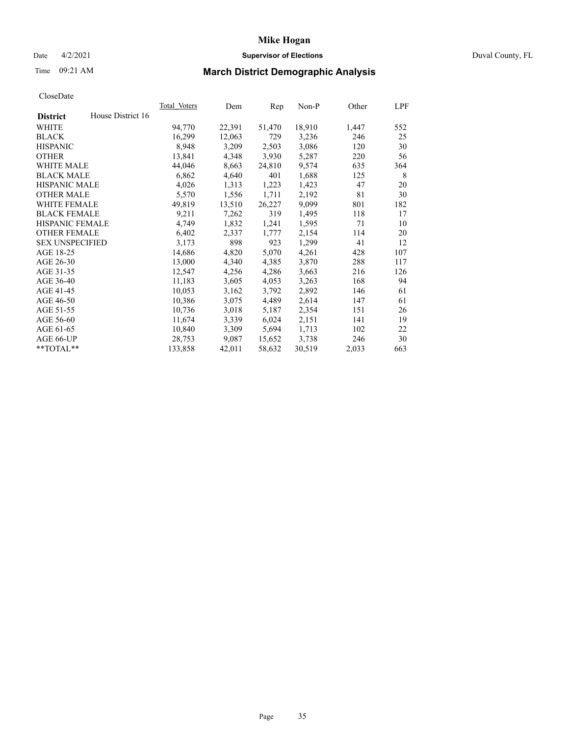## Date 4/2/2021 **Supervisor of Elections** Duval County, FL

# Time 09:21 AM **March District Demographic Analysis**

|                        |                   | Total Voters | Dem    | Rep    | Non-P  | Other | LPF |
|------------------------|-------------------|--------------|--------|--------|--------|-------|-----|
| <b>District</b>        | House District 16 |              |        |        |        |       |     |
| WHITE                  |                   | 94,770       | 22,391 | 51,470 | 18,910 | 1,447 | 552 |
| <b>BLACK</b>           |                   | 16,299       | 12,063 | 729    | 3,236  | 246   | 25  |
| <b>HISPANIC</b>        |                   | 8,948        | 3,209  | 2,503  | 3,086  | 120   | 30  |
| <b>OTHER</b>           |                   | 13,841       | 4,348  | 3,930  | 5,287  | 220   | 56  |
| <b>WHITE MALE</b>      |                   | 44,046       | 8,663  | 24,810 | 9,574  | 635   | 364 |
| <b>BLACK MALE</b>      |                   | 6,862        | 4,640  | 401    | 1,688  | 125   | 8   |
| <b>HISPANIC MALE</b>   |                   | 4,026        | 1,313  | 1,223  | 1,423  | 47    | 20  |
| <b>OTHER MALE</b>      |                   | 5,570        | 1,556  | 1,711  | 2,192  | 81    | 30  |
| <b>WHITE FEMALE</b>    |                   | 49,819       | 13,510 | 26,227 | 9,099  | 801   | 182 |
| <b>BLACK FEMALE</b>    |                   | 9,211        | 7,262  | 319    | 1,495  | 118   | 17  |
| <b>HISPANIC FEMALE</b> |                   | 4,749        | 1,832  | 1,241  | 1,595  | 71    | 10  |
| <b>OTHER FEMALE</b>    |                   | 6,402        | 2,337  | 1,777  | 2,154  | 114   | 20  |
| <b>SEX UNSPECIFIED</b> |                   | 3,173        | 898    | 923    | 1,299  | 41    | 12  |
| AGE 18-25              |                   | 14,686       | 4,820  | 5,070  | 4,261  | 428   | 107 |
| AGE 26-30              |                   | 13,000       | 4,340  | 4,385  | 3,870  | 288   | 117 |
| AGE 31-35              |                   | 12,547       | 4,256  | 4,286  | 3,663  | 216   | 126 |
| AGE 36-40              |                   | 11,183       | 3,605  | 4,053  | 3,263  | 168   | 94  |
| AGE 41-45              |                   | 10,053       | 3,162  | 3,792  | 2,892  | 146   | 61  |
| AGE 46-50              |                   | 10,386       | 3,075  | 4,489  | 2,614  | 147   | 61  |
| AGE 51-55              |                   | 10,736       | 3,018  | 5,187  | 2,354  | 151   | 26  |
| AGE 56-60              |                   | 11,674       | 3,339  | 6,024  | 2,151  | 141   | 19  |
| AGE 61-65              |                   | 10,840       | 3,309  | 5,694  | 1,713  | 102   | 22  |
| AGE 66-UP              |                   | 28,753       | 9,087  | 15,652 | 3,738  | 246   | 30  |
| $*$ TOTAL $*$          |                   | 133,858      | 42,011 | 58,632 | 30,519 | 2,033 | 663 |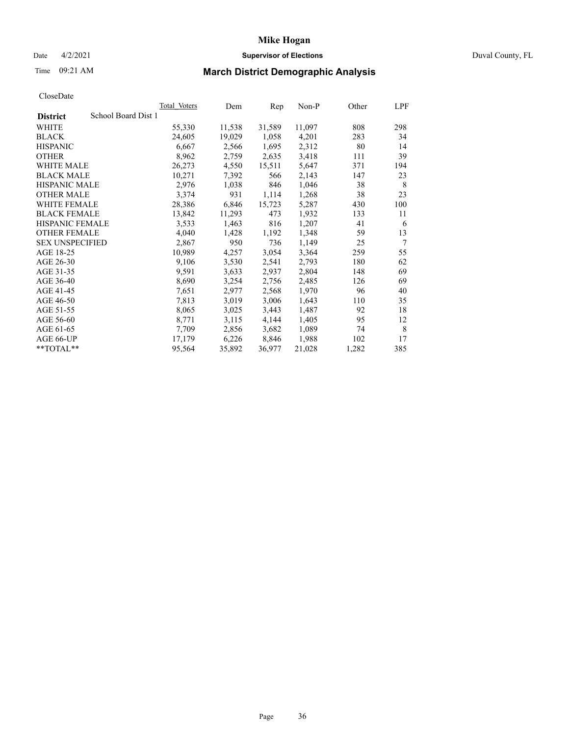## Date 4/2/2021 **Supervisor of Elections** Duval County, FL

# Time 09:21 AM **March District Demographic Analysis**

|                                        | Total Voters | Dem    | Rep    | $Non-P$ | Other | LPF |
|----------------------------------------|--------------|--------|--------|---------|-------|-----|
| School Board Dist 1<br><b>District</b> |              |        |        |         |       |     |
| WHITE                                  | 55,330       | 11,538 | 31,589 | 11,097  | 808   | 298 |
| <b>BLACK</b>                           | 24,605       | 19,029 | 1,058  | 4,201   | 283   | 34  |
| <b>HISPANIC</b>                        | 6,667        | 2,566  | 1,695  | 2,312   | 80    | 14  |
| <b>OTHER</b>                           | 8,962        | 2,759  | 2,635  | 3,418   | 111   | 39  |
| <b>WHITE MALE</b>                      | 26,273       | 4,550  | 15,511 | 5,647   | 371   | 194 |
| <b>BLACK MALE</b>                      | 10,271       | 7,392  | 566    | 2,143   | 147   | 23  |
| <b>HISPANIC MALE</b>                   | 2,976        | 1,038  | 846    | 1,046   | 38    | 8   |
| <b>OTHER MALE</b>                      | 3,374        | 931    | 1,114  | 1,268   | 38    | 23  |
| <b>WHITE FEMALE</b>                    | 28,386       | 6,846  | 15,723 | 5,287   | 430   | 100 |
| <b>BLACK FEMALE</b>                    | 13,842       | 11,293 | 473    | 1,932   | 133   | 11  |
| HISPANIC FEMALE                        | 3,533        | 1,463  | 816    | 1,207   | 41    | 6   |
| <b>OTHER FEMALE</b>                    | 4,040        | 1,428  | 1,192  | 1,348   | 59    | 13  |
| <b>SEX UNSPECIFIED</b>                 | 2,867        | 950    | 736    | 1,149   | 25    | 7   |
| AGE 18-25                              | 10,989       | 4,257  | 3,054  | 3,364   | 259   | 55  |
| AGE 26-30                              | 9,106        | 3,530  | 2,541  | 2,793   | 180   | 62  |
| AGE 31-35                              | 9,591        | 3,633  | 2,937  | 2,804   | 148   | 69  |
| AGE 36-40                              | 8,690        | 3,254  | 2,756  | 2,485   | 126   | 69  |
| AGE 41-45                              | 7,651        | 2,977  | 2,568  | 1,970   | 96    | 40  |
| AGE 46-50                              | 7,813        | 3,019  | 3,006  | 1,643   | 110   | 35  |
| AGE 51-55                              | 8,065        | 3,025  | 3,443  | 1,487   | 92    | 18  |
| AGE 56-60                              | 8,771        | 3,115  | 4,144  | 1,405   | 95    | 12  |
| AGE 61-65                              | 7,709        | 2,856  | 3,682  | 1,089   | 74    | 8   |
| AGE 66-UP                              | 17,179       | 6,226  | 8,846  | 1,988   | 102   | 17  |
| **TOTAL**                              | 95,564       | 35,892 | 36,977 | 21,028  | 1,282 | 385 |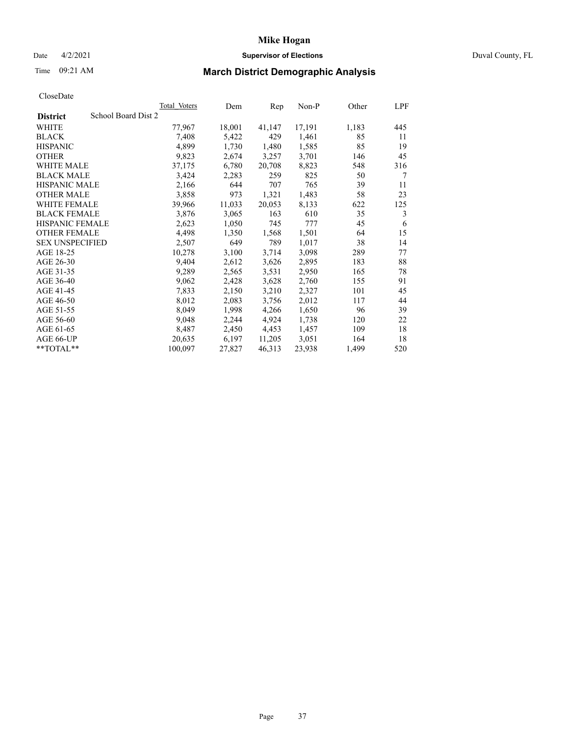## Date 4/2/2021 **Supervisor of Elections** Duval County, FL

# Time 09:21 AM **March District Demographic Analysis**

| Total Voters        | Dem    | Rep    | $Non-P$ | Other | LPF |
|---------------------|--------|--------|---------|-------|-----|
| School Board Dist 2 |        |        |         |       |     |
| 77,967              | 18,001 | 41,147 | 17,191  | 1,183 | 445 |
| 7,408               | 5,422  | 429    | 1,461   | 85    | 11  |
| 4,899               | 1,730  | 1,480  | 1,585   | 85    | 19  |
| 9,823               | 2,674  | 3,257  | 3,701   | 146   | 45  |
| 37,175              | 6,780  | 20,708 | 8,823   | 548   | 316 |
| 3,424               | 2,283  | 259    | 825     | 50    | 7   |
| 2,166               | 644    | 707    | 765     | 39    | 11  |
| 3,858               | 973    | 1,321  | 1,483   | 58    | 23  |
| 39,966              | 11,033 | 20,053 | 8,133   | 622   | 125 |
| 3,876               | 3,065  | 163    | 610     | 35    | 3   |
| 2,623               | 1,050  | 745    | 777     | 45    | 6   |
| 4,498               | 1,350  | 1,568  | 1,501   | 64    | 15  |
| 2,507               | 649    | 789    | 1,017   | 38    | 14  |
| 10,278              | 3,100  | 3,714  | 3,098   | 289   | 77  |
| 9,404               | 2,612  | 3,626  | 2,895   | 183   | 88  |
| 9,289               | 2,565  | 3,531  | 2,950   | 165   | 78  |
| 9,062               | 2,428  | 3,628  | 2,760   | 155   | 91  |
| 7,833               | 2,150  | 3,210  | 2,327   | 101   | 45  |
| 8,012               | 2,083  | 3,756  | 2,012   | 117   | 44  |
| 8,049               | 1,998  | 4,266  | 1,650   | 96    | 39  |
| 9,048               | 2,244  | 4,924  | 1,738   | 120   | 22  |
| 8,487               | 2,450  | 4,453  | 1,457   | 109   | 18  |
| 20,635              | 6,197  | 11,205 | 3,051   | 164   | 18  |
| 100,097             | 27,827 | 46,313 | 23,938  | 1,499 | 520 |
|                     |        |        |         |       |     |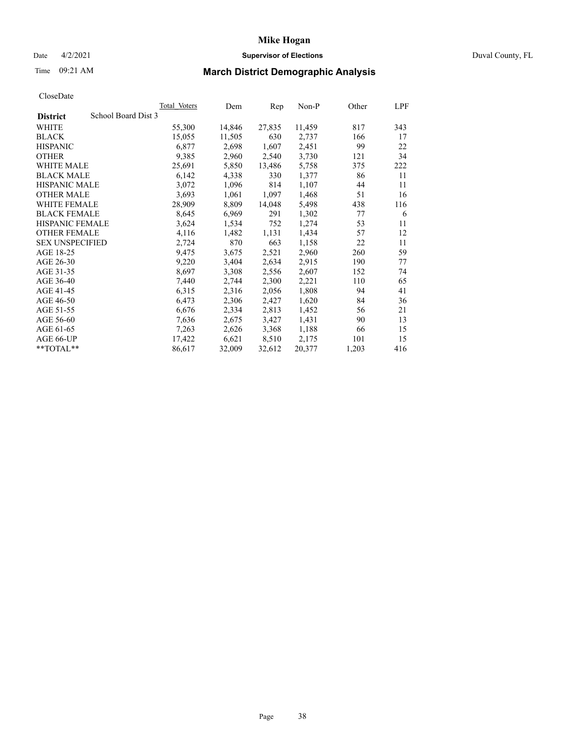## Date 4/2/2021 **Supervisor of Elections** Duval County, FL

# Time 09:21 AM **March District Demographic Analysis**

|                        |                     | Total Voters | Dem    | Rep    | $Non-P$ | Other | LPF |
|------------------------|---------------------|--------------|--------|--------|---------|-------|-----|
| <b>District</b>        | School Board Dist 3 |              |        |        |         |       |     |
| WHITE                  |                     | 55,300       | 14,846 | 27,835 | 11,459  | 817   | 343 |
| <b>BLACK</b>           |                     | 15,055       | 11,505 | 630    | 2,737   | 166   | 17  |
| <b>HISPANIC</b>        |                     | 6,877        | 2,698  | 1,607  | 2,451   | 99    | 22  |
| <b>OTHER</b>           |                     | 9,385        | 2,960  | 2,540  | 3,730   | 121   | 34  |
| <b>WHITE MALE</b>      |                     | 25,691       | 5,850  | 13,486 | 5,758   | 375   | 222 |
| <b>BLACK MALE</b>      |                     | 6,142        | 4,338  | 330    | 1,377   | 86    | 11  |
| <b>HISPANIC MALE</b>   |                     | 3,072        | 1,096  | 814    | 1,107   | 44    | 11  |
| <b>OTHER MALE</b>      |                     | 3,693        | 1,061  | 1,097  | 1,468   | 51    | 16  |
| WHITE FEMALE           |                     | 28,909       | 8,809  | 14,048 | 5,498   | 438   | 116 |
| <b>BLACK FEMALE</b>    |                     | 8,645        | 6,969  | 291    | 1,302   | 77    | 6   |
| HISPANIC FEMALE        |                     | 3,624        | 1,534  | 752    | 1,274   | 53    | 11  |
| <b>OTHER FEMALE</b>    |                     | 4,116        | 1,482  | 1,131  | 1,434   | 57    | 12  |
| <b>SEX UNSPECIFIED</b> |                     | 2,724        | 870    | 663    | 1,158   | 22    | 11  |
| AGE 18-25              |                     | 9,475        | 3,675  | 2,521  | 2,960   | 260   | 59  |
| AGE 26-30              |                     | 9,220        | 3,404  | 2,634  | 2,915   | 190   | 77  |
| AGE 31-35              |                     | 8,697        | 3,308  | 2,556  | 2,607   | 152   | 74  |
| AGE 36-40              |                     | 7,440        | 2,744  | 2,300  | 2,221   | 110   | 65  |
| AGE 41-45              |                     | 6,315        | 2,316  | 2,056  | 1,808   | 94    | 41  |
| AGE 46-50              |                     | 6,473        | 2,306  | 2,427  | 1,620   | 84    | 36  |
| AGE 51-55              |                     | 6,676        | 2,334  | 2,813  | 1,452   | 56    | 21  |
| AGE 56-60              |                     | 7,636        | 2,675  | 3,427  | 1,431   | 90    | 13  |
| AGE 61-65              |                     | 7,263        | 2,626  | 3,368  | 1,188   | 66    | 15  |
| AGE 66-UP              |                     | 17,422       | 6,621  | 8,510  | 2,175   | 101   | 15  |
| **TOTAL**              |                     | 86,617       | 32,009 | 32,612 | 20,377  | 1,203 | 416 |
|                        |                     |              |        |        |         |       |     |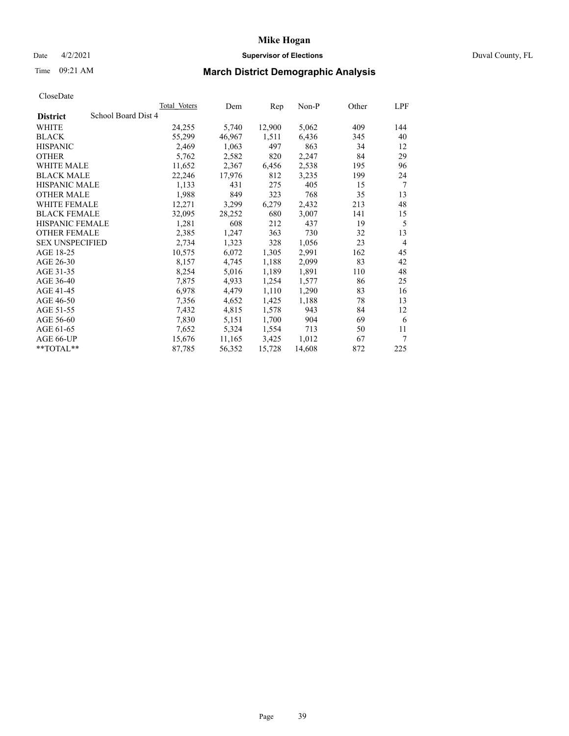### Date 4/2/2021 **Supervisor of Elections** Duval County, FL

# Time 09:21 AM **March District Demographic Analysis**

|                                        | Total Voters | Dem    | Rep    | Non-P  | Other | LPF            |
|----------------------------------------|--------------|--------|--------|--------|-------|----------------|
| School Board Dist 4<br><b>District</b> |              |        |        |        |       |                |
| WHITE                                  | 24,255       | 5,740  | 12,900 | 5,062  | 409   | 144            |
| <b>BLACK</b>                           | 55,299       | 46,967 | 1,511  | 6,436  | 345   | 40             |
| <b>HISPANIC</b>                        | 2,469        | 1,063  | 497    | 863    | 34    | 12             |
| <b>OTHER</b>                           | 5,762        | 2,582  | 820    | 2,247  | 84    | 29             |
| <b>WHITE MALE</b>                      | 11,652       | 2,367  | 6,456  | 2,538  | 195   | 96             |
| <b>BLACK MALE</b>                      | 22,246       | 17,976 | 812    | 3,235  | 199   | 24             |
| <b>HISPANIC MALE</b>                   | 1,133        | 431    | 275    | 405    | 15    | 7              |
| <b>OTHER MALE</b>                      | 1,988        | 849    | 323    | 768    | 35    | 13             |
| WHITE FEMALE                           | 12,271       | 3,299  | 6,279  | 2,432  | 213   | 48             |
| <b>BLACK FEMALE</b>                    | 32,095       | 28,252 | 680    | 3,007  | 141   | 15             |
| <b>HISPANIC FEMALE</b>                 | 1,281        | 608    | 212    | 437    | 19    | 5              |
| <b>OTHER FEMALE</b>                    | 2,385        | 1,247  | 363    | 730    | 32    | 13             |
| <b>SEX UNSPECIFIED</b>                 | 2,734        | 1,323  | 328    | 1,056  | 23    | $\overline{4}$ |
| AGE 18-25                              | 10,575       | 6,072  | 1,305  | 2,991  | 162   | 45             |
| AGE 26-30                              | 8,157        | 4,745  | 1,188  | 2,099  | 83    | 42             |
| AGE 31-35                              | 8,254        | 5,016  | 1,189  | 1,891  | 110   | 48             |
| AGE 36-40                              | 7,875        | 4,933  | 1,254  | 1,577  | 86    | 25             |
| AGE 41-45                              | 6,978        | 4,479  | 1,110  | 1,290  | 83    | 16             |
| AGE 46-50                              | 7,356        | 4,652  | 1,425  | 1,188  | 78    | 13             |
| AGE 51-55                              | 7,432        | 4,815  | 1,578  | 943    | 84    | 12             |
| AGE 56-60                              | 7,830        | 5,151  | 1,700  | 904    | 69    | 6              |
| AGE 61-65                              | 7,652        | 5,324  | 1,554  | 713    | 50    | 11             |
| AGE 66-UP                              | 15,676       | 11,165 | 3,425  | 1,012  | 67    | 7              |
| $*$ $TOTAL**$                          | 87,785       | 56,352 | 15,728 | 14,608 | 872   | 225            |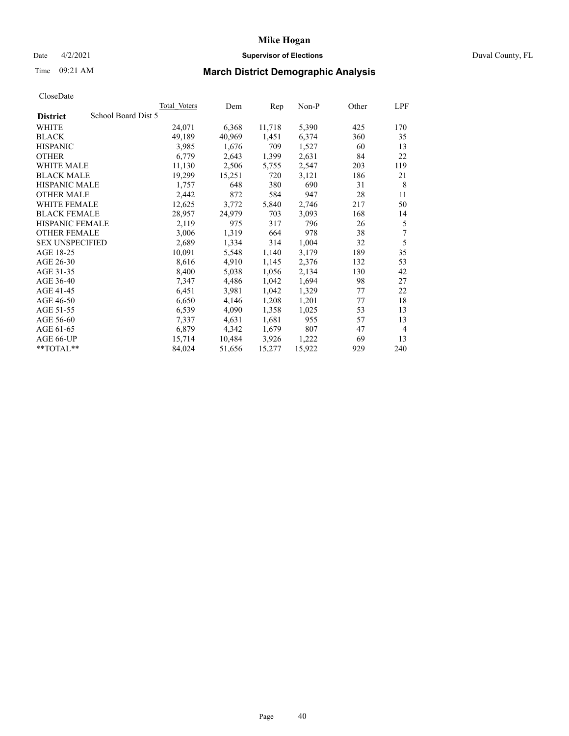### Date 4/2/2021 **Supervisor of Elections** Duval County, FL

# Time 09:21 AM **March District Demographic Analysis**

|                                        | Total Voters | Dem    | Rep    | Non-P  | Other | LPF            |
|----------------------------------------|--------------|--------|--------|--------|-------|----------------|
| School Board Dist 5<br><b>District</b> |              |        |        |        |       |                |
| WHITE                                  | 24,071       | 6,368  | 11,718 | 5,390  | 425   | 170            |
| <b>BLACK</b>                           | 49,189       | 40,969 | 1,451  | 6,374  | 360   | 35             |
| <b>HISPANIC</b>                        | 3,985        | 1,676  | 709    | 1,527  | 60    | 13             |
| <b>OTHER</b>                           | 6,779        | 2,643  | 1,399  | 2,631  | 84    | 22             |
| <b>WHITE MALE</b>                      | 11,130       | 2,506  | 5,755  | 2,547  | 203   | 119            |
| <b>BLACK MALE</b>                      | 19,299       | 15,251 | 720    | 3,121  | 186   | 21             |
| <b>HISPANIC MALE</b>                   | 1,757        | 648    | 380    | 690    | 31    | 8              |
| <b>OTHER MALE</b>                      | 2,442        | 872    | 584    | 947    | 28    | 11             |
| WHITE FEMALE                           | 12,625       | 3,772  | 5,840  | 2,746  | 217   | 50             |
| <b>BLACK FEMALE</b>                    | 28,957       | 24,979 | 703    | 3,093  | 168   | 14             |
| <b>HISPANIC FEMALE</b>                 | 2,119        | 975    | 317    | 796    | 26    | 5              |
| <b>OTHER FEMALE</b>                    | 3,006        | 1,319  | 664    | 978    | 38    | 7              |
| <b>SEX UNSPECIFIED</b>                 | 2,689        | 1,334  | 314    | 1,004  | 32    | 5              |
| AGE 18-25                              | 10,091       | 5,548  | 1,140  | 3,179  | 189   | 35             |
| AGE 26-30                              | 8,616        | 4,910  | 1,145  | 2,376  | 132   | 53             |
| AGE 31-35                              | 8,400        | 5,038  | 1,056  | 2,134  | 130   | 42             |
| AGE 36-40                              | 7,347        | 4,486  | 1,042  | 1,694  | 98    | 27             |
| AGE 41-45                              | 6,451        | 3,981  | 1,042  | 1,329  | 77    | 22             |
| AGE 46-50                              | 6,650        | 4,146  | 1,208  | 1,201  | 77    | 18             |
| AGE 51-55                              | 6,539        | 4,090  | 1,358  | 1,025  | 53    | 13             |
| AGE 56-60                              | 7,337        | 4,631  | 1,681  | 955    | 57    | 13             |
| AGE 61-65                              | 6,879        | 4,342  | 1,679  | 807    | 47    | $\overline{4}$ |
| AGE 66-UP                              | 15,714       | 10,484 | 3,926  | 1,222  | 69    | 13             |
| $*$ $TOTAL**$                          | 84,024       | 51,656 | 15,277 | 15,922 | 929   | 240            |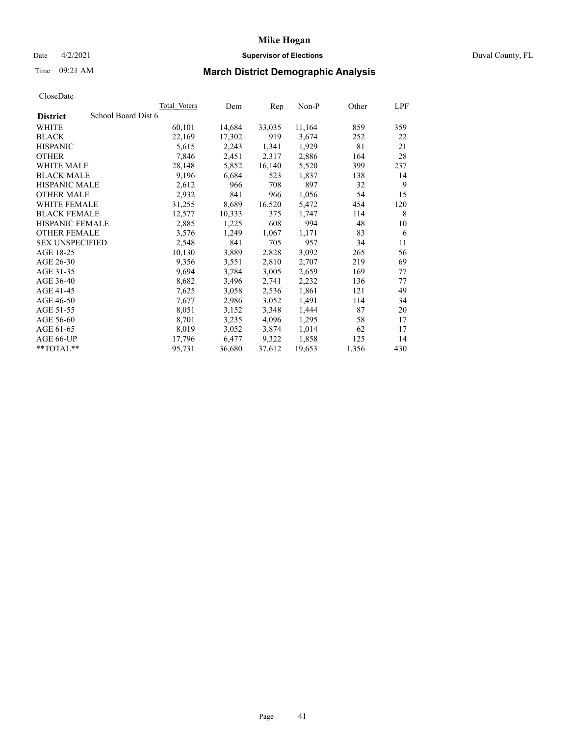## Date 4/2/2021 **Supervisor of Elections** Duval County, FL

# Time 09:21 AM **March District Demographic Analysis**

| School Board Dist 6<br><b>District</b><br>WHITE<br>60,101<br>14,684<br>33,035<br>22,169<br><b>BLACK</b><br>17,302<br>919 | 11,164<br>3,674<br>1,929 | 859<br>252 | 359 |
|--------------------------------------------------------------------------------------------------------------------------|--------------------------|------------|-----|
|                                                                                                                          |                          |            |     |
|                                                                                                                          |                          |            |     |
|                                                                                                                          |                          |            | 22  |
| 1,341<br><b>HISPANIC</b><br>5,615<br>2,243                                                                               |                          | 81         | 21  |
| <b>OTHER</b><br>7,846<br>2,317<br>2,451                                                                                  | 2,886                    | 164        | 28  |
| <b>WHITE MALE</b><br>28,148<br>5,852<br>16,140                                                                           | 5,520                    | 399        | 237 |
| <b>BLACK MALE</b><br>9,196<br>6,684<br>523                                                                               | 1,837                    | 138        | 14  |
| <b>HISPANIC MALE</b><br>2,612<br>966<br>708                                                                              | 897                      | 32         | 9   |
| 2,932<br><b>OTHER MALE</b><br>841<br>966                                                                                 | 1,056                    | 54         | 15  |
| WHITE FEMALE<br>16,520<br>31,255<br>8,689                                                                                | 5,472                    | 454        | 120 |
| <b>BLACK FEMALE</b><br>12,577<br>10,333<br>375                                                                           | 1,747                    | 114        | 8   |
| HISPANIC FEMALE<br>608<br>2,885<br>1,225                                                                                 | 994                      | 48         | 10  |
| <b>OTHER FEMALE</b><br>3,576<br>1,249<br>1,067                                                                           | 1,171                    | 83         | 6   |
| 2,548<br>841<br>705<br><b>SEX UNSPECIFIED</b>                                                                            | 957                      | 34         | 11  |
| AGE 18-25<br>10,130<br>3,889<br>2,828                                                                                    | 3,092                    | 265        | 56  |
| AGE 26-30<br>9,356<br>2,810<br>3,551                                                                                     | 2,707                    | 219        | 69  |
| 9,694<br>AGE 31-35<br>3,005<br>3,784                                                                                     | 2,659                    | 169        | 77  |
| 2,741<br>AGE 36-40<br>8,682<br>3,496                                                                                     | 2,232                    | 136        | 77  |
| AGE 41-45<br>7,625<br>3,058<br>2,536                                                                                     | 1,861                    | 121        | 49  |
| AGE 46-50<br>3,052<br>7,677<br>2,986                                                                                     | 1,491                    | 114        | 34  |
| AGE 51-55<br>8,051<br>3,152<br>3,348                                                                                     | 1,444                    | 87         | 20  |
| AGE 56-60<br>8,701<br>3,235<br>4,096                                                                                     | 1,295                    | 58         | 17  |
| 8,019<br>AGE 61-65<br>3,874<br>3,052                                                                                     | 1,014                    | 62         | 17  |
| 9,322<br>AGE 66-UP<br>17,796<br>6,477                                                                                    | 1,858                    | 125        | 14  |
| **TOTAL**<br>95,731<br>37,612<br>36,680                                                                                  | 19,653                   | 1,356      | 430 |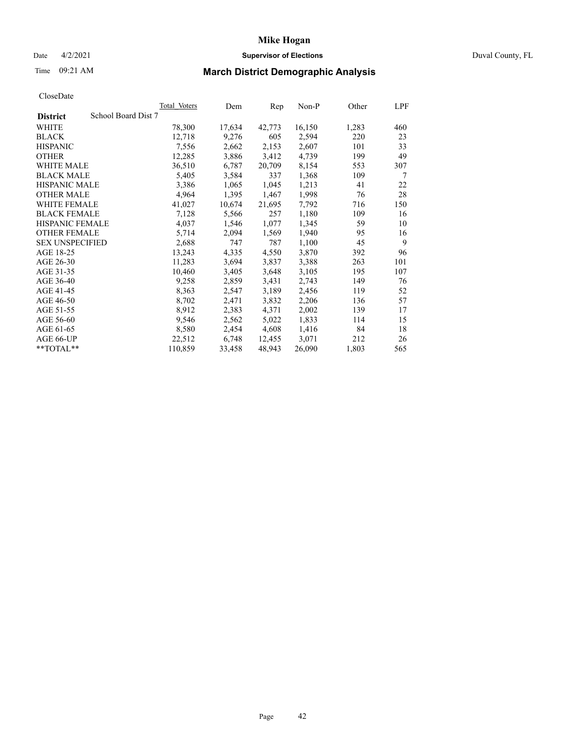## Date 4/2/2021 **Supervisor of Elections** Duval County, FL

# Time 09:21 AM **March District Demographic Analysis**

|                        |                     | Total Voters | Dem    | Rep    | Non-P  | Other | LPF |
|------------------------|---------------------|--------------|--------|--------|--------|-------|-----|
| <b>District</b>        | School Board Dist 7 |              |        |        |        |       |     |
| WHITE                  |                     | 78,300       | 17,634 | 42,773 | 16,150 | 1,283 | 460 |
| <b>BLACK</b>           |                     | 12,718       | 9,276  | 605    | 2,594  | 220   | 23  |
| <b>HISPANIC</b>        |                     | 7,556        | 2,662  | 2,153  | 2,607  | 101   | 33  |
| <b>OTHER</b>           |                     | 12,285       | 3,886  | 3,412  | 4,739  | 199   | 49  |
| WHITE MALE             |                     | 36,510       | 6,787  | 20,709 | 8,154  | 553   | 307 |
| <b>BLACK MALE</b>      |                     | 5,405        | 3,584  | 337    | 1,368  | 109   | 7   |
| <b>HISPANIC MALE</b>   |                     | 3,386        | 1,065  | 1,045  | 1,213  | 41    | 22  |
| <b>OTHER MALE</b>      |                     | 4,964        | 1,395  | 1,467  | 1,998  | 76    | 28  |
| <b>WHITE FEMALE</b>    |                     | 41,027       | 10,674 | 21,695 | 7,792  | 716   | 150 |
| <b>BLACK FEMALE</b>    |                     | 7,128        | 5,566  | 257    | 1,180  | 109   | 16  |
| <b>HISPANIC FEMALE</b> |                     | 4,037        | 1,546  | 1,077  | 1,345  | 59    | 10  |
| <b>OTHER FEMALE</b>    |                     | 5,714        | 2,094  | 1,569  | 1,940  | 95    | 16  |
| <b>SEX UNSPECIFIED</b> |                     | 2,688        | 747    | 787    | 1,100  | 45    | 9   |
| AGE 18-25              |                     | 13,243       | 4,335  | 4,550  | 3,870  | 392   | 96  |
| AGE 26-30              |                     | 11,283       | 3,694  | 3,837  | 3,388  | 263   | 101 |
| AGE 31-35              |                     | 10,460       | 3,405  | 3,648  | 3,105  | 195   | 107 |
| AGE 36-40              |                     | 9,258        | 2,859  | 3,431  | 2,743  | 149   | 76  |
| AGE 41-45              |                     | 8,363        | 2,547  | 3,189  | 2,456  | 119   | 52  |
| AGE 46-50              |                     | 8,702        | 2,471  | 3,832  | 2,206  | 136   | 57  |
| AGE 51-55              |                     | 8,912        | 2,383  | 4,371  | 2,002  | 139   | 17  |
| AGE 56-60              |                     | 9,546        | 2,562  | 5,022  | 1,833  | 114   | 15  |
| AGE 61-65              |                     | 8,580        | 2,454  | 4,608  | 1,416  | 84    | 18  |
| AGE 66-UP              |                     | 22,512       | 6,748  | 12,455 | 3,071  | 212   | 26  |
| $*$ $TOTAL**$          |                     | 110,859      | 33,458 | 48,943 | 26,090 | 1,803 | 565 |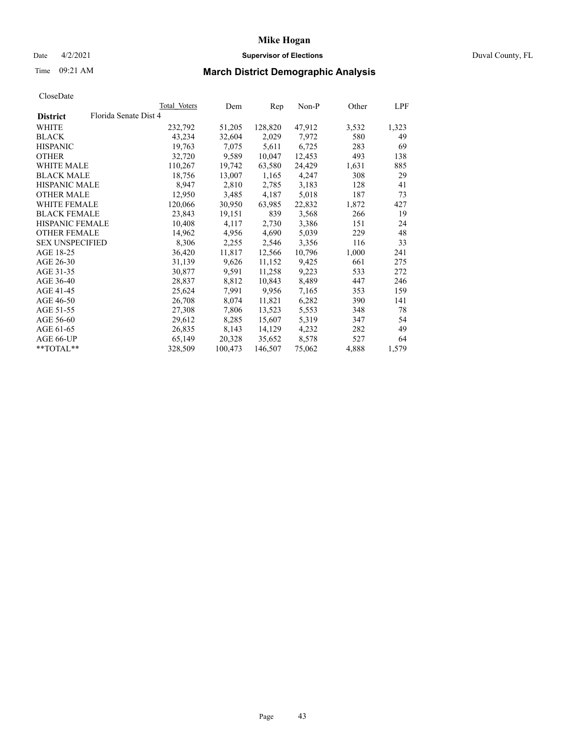## Date 4/2/2021 **Supervisor of Elections** Duval County, FL

# Time 09:21 AM **March District Demographic Analysis**

|                        |                       | Total Voters | Dem     | Rep     | $Non-P$ | Other | LPF   |
|------------------------|-----------------------|--------------|---------|---------|---------|-------|-------|
| <b>District</b>        | Florida Senate Dist 4 |              |         |         |         |       |       |
| WHITE                  |                       | 232,792      | 51,205  | 128,820 | 47,912  | 3,532 | 1,323 |
| <b>BLACK</b>           |                       | 43,234       | 32,604  | 2,029   | 7,972   | 580   | 49    |
| <b>HISPANIC</b>        |                       | 19,763       | 7,075   | 5,611   | 6,725   | 283   | 69    |
| <b>OTHER</b>           |                       | 32,720       | 9,589   | 10,047  | 12,453  | 493   | 138   |
| <b>WHITE MALE</b>      |                       | 110,267      | 19,742  | 63,580  | 24,429  | 1,631 | 885   |
| <b>BLACK MALE</b>      |                       | 18,756       | 13,007  | 1,165   | 4,247   | 308   | 29    |
| <b>HISPANIC MALE</b>   |                       | 8,947        | 2,810   | 2,785   | 3,183   | 128   | 41    |
| <b>OTHER MALE</b>      |                       | 12,950       | 3,485   | 4,187   | 5,018   | 187   | 73    |
| <b>WHITE FEMALE</b>    |                       | 120,066      | 30,950  | 63,985  | 22,832  | 1,872 | 427   |
| <b>BLACK FEMALE</b>    |                       | 23,843       | 19,151  | 839     | 3,568   | 266   | 19    |
| HISPANIC FEMALE        |                       | 10,408       | 4,117   | 2,730   | 3,386   | 151   | 24    |
| <b>OTHER FEMALE</b>    |                       | 14,962       | 4,956   | 4,690   | 5,039   | 229   | 48    |
| <b>SEX UNSPECIFIED</b> |                       | 8,306        | 2,255   | 2,546   | 3,356   | 116   | 33    |
| AGE 18-25              |                       | 36,420       | 11,817  | 12,566  | 10,796  | 1,000 | 241   |
| AGE 26-30              |                       | 31,139       | 9,626   | 11,152  | 9,425   | 661   | 275   |
| AGE 31-35              |                       | 30,877       | 9,591   | 11,258  | 9,223   | 533   | 272   |
| AGE 36-40              |                       | 28,837       | 8,812   | 10,843  | 8,489   | 447   | 246   |
| AGE 41-45              |                       | 25,624       | 7,991   | 9,956   | 7,165   | 353   | 159   |
| AGE 46-50              |                       | 26,708       | 8,074   | 11,821  | 6,282   | 390   | 141   |
| AGE 51-55              |                       | 27,308       | 7,806   | 13,523  | 5,553   | 348   | 78    |
| AGE 56-60              |                       | 29,612       | 8,285   | 15,607  | 5,319   | 347   | 54    |
| AGE 61-65              |                       | 26,835       | 8,143   | 14,129  | 4,232   | 282   | 49    |
| AGE 66-UP              |                       | 65,149       | 20,328  | 35,652  | 8,578   | 527   | 64    |
| **TOTAL**              |                       | 328,509      | 100,473 | 146,507 | 75,062  | 4,888 | 1,579 |
|                        |                       |              |         |         |         |       |       |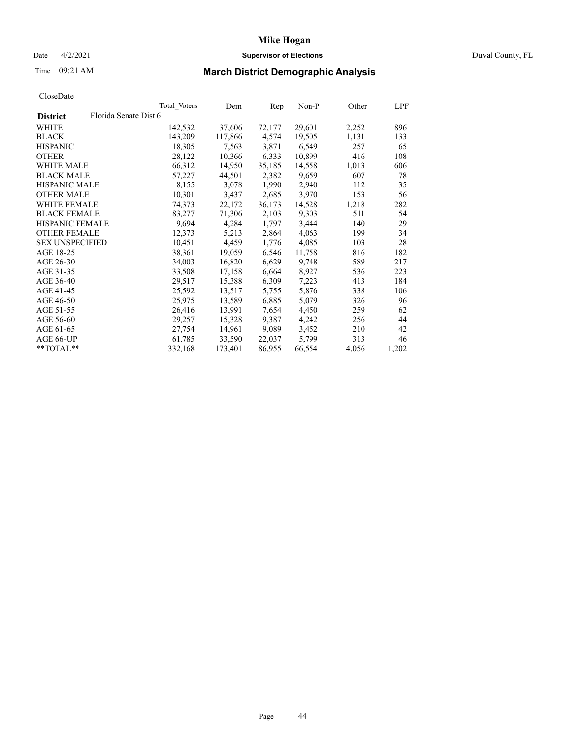## Date 4/2/2021 **Supervisor of Elections** Duval County, FL

# Time 09:21 AM **March District Demographic Analysis**

|                        |                       | Total Voters | Dem     | Rep    | $Non-P$ | Other | <b>LPF</b> |
|------------------------|-----------------------|--------------|---------|--------|---------|-------|------------|
| <b>District</b>        | Florida Senate Dist 6 |              |         |        |         |       |            |
| WHITE                  |                       | 142,532      | 37,606  | 72,177 | 29,601  | 2,252 | 896        |
| <b>BLACK</b>           |                       | 143,209      | 117,866 | 4,574  | 19,505  | 1,131 | 133        |
| <b>HISPANIC</b>        |                       | 18,305       | 7,563   | 3,871  | 6,549   | 257   | 65         |
| <b>OTHER</b>           |                       | 28,122       | 10,366  | 6,333  | 10,899  | 416   | 108        |
| WHITE MALE             |                       | 66,312       | 14,950  | 35,185 | 14,558  | 1,013 | 606        |
| <b>BLACK MALE</b>      |                       | 57,227       | 44,501  | 2,382  | 9,659   | 607   | 78         |
| <b>HISPANIC MALE</b>   |                       | 8,155        | 3,078   | 1,990  | 2,940   | 112   | 35         |
| <b>OTHER MALE</b>      |                       | 10,301       | 3,437   | 2,685  | 3,970   | 153   | 56         |
| <b>WHITE FEMALE</b>    |                       | 74,373       | 22,172  | 36,173 | 14,528  | 1,218 | 282        |
| <b>BLACK FEMALE</b>    |                       | 83,277       | 71,306  | 2,103  | 9,303   | 511   | 54         |
| HISPANIC FEMALE        |                       | 9,694        | 4,284   | 1,797  | 3,444   | 140   | 29         |
| <b>OTHER FEMALE</b>    |                       | 12,373       | 5,213   | 2,864  | 4,063   | 199   | 34         |
| <b>SEX UNSPECIFIED</b> |                       | 10,451       | 4,459   | 1,776  | 4,085   | 103   | 28         |
| AGE 18-25              |                       | 38,361       | 19,059  | 6,546  | 11,758  | 816   | 182        |
| AGE 26-30              |                       | 34,003       | 16,820  | 6,629  | 9,748   | 589   | 217        |
| AGE 31-35              |                       | 33,508       | 17,158  | 6,664  | 8,927   | 536   | 223        |
| AGE 36-40              |                       | 29,517       | 15,388  | 6,309  | 7,223   | 413   | 184        |
| AGE 41-45              |                       | 25,592       | 13,517  | 5,755  | 5,876   | 338   | 106        |
| AGE 46-50              |                       | 25,975       | 13,589  | 6,885  | 5,079   | 326   | 96         |
| AGE 51-55              |                       | 26,416       | 13,991  | 7,654  | 4,450   | 259   | 62         |
| AGE 56-60              |                       | 29,257       | 15,328  | 9,387  | 4,242   | 256   | 44         |
| AGE 61-65              |                       | 27,754       | 14,961  | 9,089  | 3,452   | 210   | 42         |
| AGE 66-UP              |                       | 61,785       | 33,590  | 22,037 | 5,799   | 313   | 46         |
| **TOTAL**              |                       | 332,168      | 173,401 | 86,955 | 66,554  | 4,056 | 1,202      |
|                        |                       |              |         |        |         |       |            |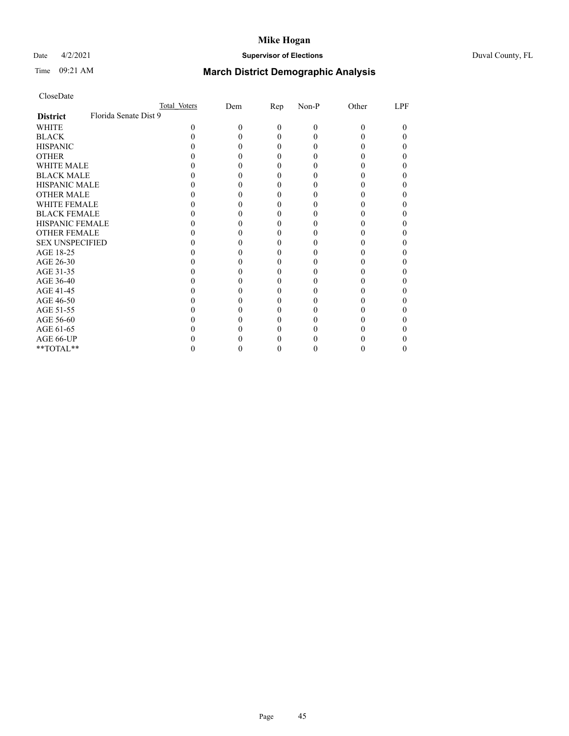## Date 4/2/2021 **Supervisor of Elections** Duval County, FL

# Time 09:21 AM **March District Demographic Analysis**

|                        | Total Voters          | Dem | Rep      | Non-P | Other | LPF |
|------------------------|-----------------------|-----|----------|-------|-------|-----|
| <b>District</b>        | Florida Senate Dist 9 |     |          |       |       |     |
| WHITE                  | 0                     | 0   | $\Omega$ | 0     | 0     | 0   |
| <b>BLACK</b>           |                       |     | $_{0}$   |       |       |     |
| <b>HISPANIC</b>        |                       |     | $_{0}$   |       |       |     |
| <b>OTHER</b>           |                       |     |          |       |       |     |
| WHITE MALE             |                       |     |          |       |       |     |
| <b>BLACK MALE</b>      |                       |     |          |       |       |     |
| <b>HISPANIC MALE</b>   |                       |     |          |       |       |     |
| <b>OTHER MALE</b>      |                       |     |          |       |       |     |
| <b>WHITE FEMALE</b>    |                       |     |          |       |       |     |
| <b>BLACK FEMALE</b>    |                       |     | 0        |       |       |     |
| <b>HISPANIC FEMALE</b> |                       |     |          |       |       |     |
| <b>OTHER FEMALE</b>    |                       |     |          |       |       |     |
| <b>SEX UNSPECIFIED</b> |                       |     |          |       |       |     |
| AGE 18-25              |                       |     |          |       |       |     |
| AGE 26-30              |                       |     |          |       |       |     |
| AGE 31-35              |                       |     |          |       |       |     |
| AGE 36-40              |                       |     | 0        |       |       |     |
| AGE 41-45              |                       |     |          |       |       |     |
| AGE 46-50              |                       |     |          |       |       |     |
| AGE 51-55              |                       |     |          |       |       |     |
| AGE 56-60              |                       |     |          |       |       |     |
| AGE 61-65              |                       |     |          |       |       |     |
| AGE 66-UP              |                       |     |          |       |       |     |
| **TOTAL**              |                       |     |          |       |       |     |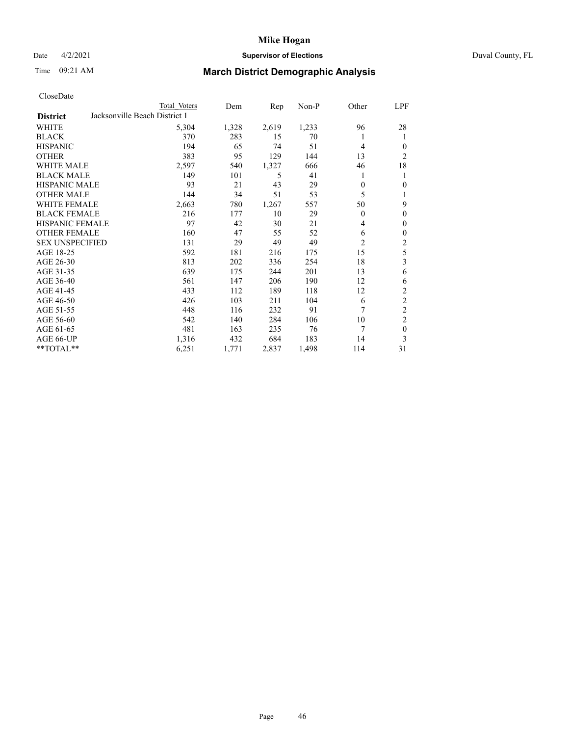## Date 4/2/2021 **Supervisor of Elections** Duval County, FL

# Time 09:21 AM **March District Demographic Analysis**

|                        |                               | Total Voters | Dem   | Rep   | $Non-P$ | Other    | <b>LPF</b>       |
|------------------------|-------------------------------|--------------|-------|-------|---------|----------|------------------|
| <b>District</b>        | Jacksonville Beach District 1 |              |       |       |         |          |                  |
| WHITE                  |                               | 5,304        | 1,328 | 2,619 | 1,233   | 96       | 28               |
| <b>BLACK</b>           |                               | 370          | 283   | 15    | 70      | 1        | 1                |
| <b>HISPANIC</b>        |                               | 194          | 65    | 74    | 51      | 4        | $\mathbf{0}$     |
| <b>OTHER</b>           |                               | 383          | 95    | 129   | 144     | 13       | $\overline{2}$   |
| <b>WHITE MALE</b>      |                               | 2,597        | 540   | 1,327 | 666     | 46       | 18               |
| <b>BLACK MALE</b>      |                               | 149          | 101   | 5     | 41      | 1        | 1                |
| <b>HISPANIC MALE</b>   |                               | 93           | 21    | 43    | 29      | 0        | $\mathbf{0}$     |
| <b>OTHER MALE</b>      |                               | 144          | 34    | 51    | 53      | 5        | 1                |
| WHITE FEMALE           |                               | 2,663        | 780   | 1,267 | 557     | 50       | 9                |
| <b>BLACK FEMALE</b>    |                               | 216          | 177   | 10    | 29      | $\theta$ | $\mathbf{0}$     |
| <b>HISPANIC FEMALE</b> |                               | 97           | 42    | 30    | 21      | 4        | $\boldsymbol{0}$ |
| <b>OTHER FEMALE</b>    |                               | 160          | 47    | 55    | 52      | 6        | $\boldsymbol{0}$ |
| <b>SEX UNSPECIFIED</b> |                               | 131          | 29    | 49    | 49      | 2        | $\sqrt{2}$       |
| AGE 18-25              |                               | 592          | 181   | 216   | 175     | 15       | 5                |
| AGE 26-30              |                               | 813          | 202   | 336   | 254     | 18       | 3                |
| AGE 31-35              |                               | 639          | 175   | 244   | 201     | 13       | 6                |
| AGE 36-40              |                               | 561          | 147   | 206   | 190     | 12       | 6                |
| AGE 41-45              |                               | 433          | 112   | 189   | 118     | 12       | $\sqrt{2}$       |
| AGE 46-50              |                               | 426          | 103   | 211   | 104     | 6        | $\sqrt{2}$       |
| AGE 51-55              |                               | 448          | 116   | 232   | 91      | 7        | $\overline{2}$   |
| AGE 56-60              |                               | 542          | 140   | 284   | 106     | 10       | $\mathfrak{2}$   |
| AGE 61-65              |                               | 481          | 163   | 235   | 76      | 7        | $\boldsymbol{0}$ |
| AGE 66-UP              |                               | 1,316        | 432   | 684   | 183     | 14       | 3                |
| **TOTAL**              |                               | 6,251        | 1,771 | 2,837 | 1,498   | 114      | 31               |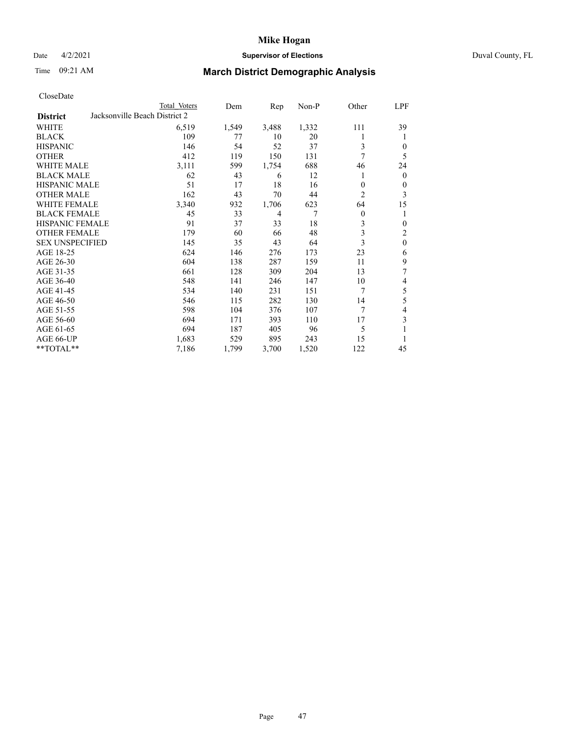## Date 4/2/2021 **Supervisor of Elections** Duval County, FL

# Time 09:21 AM **March District Demographic Analysis**

|                                                  | Total Voters | Dem   | Rep   | $Non-P$ | Other          | LPF              |
|--------------------------------------------------|--------------|-------|-------|---------|----------------|------------------|
| Jacksonville Beach District 2<br><b>District</b> |              |       |       |         |                |                  |
| WHITE                                            | 6,519        | 1,549 | 3,488 | 1,332   | 111            | 39               |
| <b>BLACK</b>                                     | 109          | 77    | 10    | 20      |                | 1                |
| <b>HISPANIC</b>                                  | 146          | 54    | 52    | 37      | 3              | $\theta$         |
| <b>OTHER</b>                                     | 412          | 119   | 150   | 131     | 7              | 5                |
| <b>WHITE MALE</b>                                | 3,111        | 599   | 1,754 | 688     | 46             | 24               |
| <b>BLACK MALE</b>                                | 62           | 43    | 6     | 12      | 1              | $\mathbf{0}$     |
| <b>HISPANIC MALE</b>                             | 51           | 17    | 18    | 16      | $\theta$       | $\boldsymbol{0}$ |
| <b>OTHER MALE</b>                                | 162          | 43    | 70    | 44      | $\overline{c}$ | 3                |
| <b>WHITE FEMALE</b>                              | 3,340        | 932   | 1,706 | 623     | 64             | 15               |
| <b>BLACK FEMALE</b>                              | 45           | 33    | 4     | 7       | $\mathbf{0}$   | 1                |
| <b>HISPANIC FEMALE</b>                           | 91           | 37    | 33    | 18      | 3              | $\overline{0}$   |
| <b>OTHER FEMALE</b>                              | 179          | 60    | 66    | 48      | 3              | $\overline{2}$   |
| <b>SEX UNSPECIFIED</b>                           | 145          | 35    | 43    | 64      | 3              | $\boldsymbol{0}$ |
| AGE 18-25                                        | 624          | 146   | 276   | 173     | 23             | 6                |
| AGE 26-30                                        | 604          | 138   | 287   | 159     | 11             | 9                |
| AGE 31-35                                        | 661          | 128   | 309   | 204     | 13             | 7                |
| AGE 36-40                                        | 548          | 141   | 246   | 147     | 10             | 4                |
| AGE 41-45                                        | 534          | 140   | 231   | 151     | 7              | $\mathfrak s$    |
| AGE 46-50                                        | 546          | 115   | 282   | 130     | 14             | 5                |
| AGE 51-55                                        | 598          | 104   | 376   | 107     | 7              | $\overline{4}$   |
| AGE 56-60                                        | 694          | 171   | 393   | 110     | 17             | 3                |
| AGE 61-65                                        | 694          | 187   | 405   | 96      | 5              | 1                |
| AGE 66-UP                                        | 1,683        | 529   | 895   | 243     | 15             |                  |
| **TOTAL**                                        | 7,186        | 1,799 | 3,700 | 1,520   | 122            | 45               |